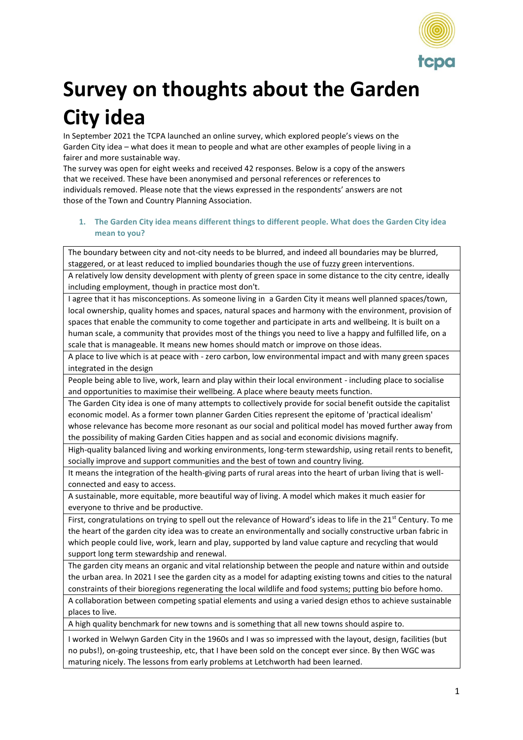

# **Survey on thoughts about the Garden City idea**

In September 2021 the TCPA launched an online survey, which explored people's views on the Garden City idea – what does it mean to people and what are other examples of people living in a fairer and more sustainable way.

The survey was open for eight weeks and received 42 responses. Below is a copy of the answers that we received. These have been anonymised and personal references or references to individuals removed. Please note that the views expressed in the respondents' answers are not those of the Town and Country Planning Association.

## **1. The Garden City idea means different things to different people. What does the Garden City idea mean to you?**

The boundary between city and not-city needs to be blurred, and indeed all boundaries may be blurred, staggered, or at least reduced to implied boundaries though the use of fuzzy green interventions. A relatively low density development with plenty of green space in some distance to the city centre, ideally

including employment, though in practice most don't. I agree that it has misconceptions. As someone living in a Garden City it means well planned spaces/town, local ownership, quality homes and spaces, natural spaces and harmony with the environment, provision of spaces that enable the community to come together and participate in arts and wellbeing. It is built on a human scale, a community that provides most of the things you need to live a happy and fulfilled life, on a scale that is manageable. It means new homes should match or improve on those ideas.

A place to live which is at peace with - zero carbon, low environmental impact and with many green spaces integrated in the design

People being able to live, work, learn and play within their local environment - including place to socialise and opportunities to maximise their wellbeing. A place where beauty meets function.

The Garden City idea is one of many attempts to collectively provide for social benefit outside the capitalist economic model. As a former town planner Garden Cities represent the epitome of 'practical idealism' whose relevance has become more resonant as our social and political model has moved further away from the possibility of making Garden Cities happen and as social and economic divisions magnify.

High-quality balanced living and working environments, long-term stewardship, using retail rents to benefit, socially improve and support communities and the best of town and country living.

It means the integration of the health-giving parts of rural areas into the heart of urban living that is wellconnected and easy to access.

A sustainable, more equitable, more beautiful way of living. A model which makes it much easier for everyone to thrive and be productive.

First, congratulations on trying to spell out the relevance of Howard's ideas to life in the 21<sup>st</sup> Century. To me the heart of the garden city idea was to create an environmentally and socially constructive urban fabric in which people could live, work, learn and play, supported by land value capture and recycling that would support long term stewardship and renewal.

The garden city means an organic and vital relationship between the people and nature within and outside the urban area. In 2021 I see the garden city as a model for adapting existing towns and cities to the natural constraints of their bioregions regenerating the local wildlife and food systems; putting bio before homo.

A collaboration between competing spatial elements and using a varied design ethos to achieve sustainable places to live.

A high quality benchmark for new towns and is something that all new towns should aspire to.

I worked in Welwyn Garden City in the 1960s and I was so impressed with the layout, design, facilities (but no pubs!), on-going trusteeship, etc, that I have been sold on the concept ever since. By then WGC was maturing nicely. The lessons from early problems at Letchworth had been learned.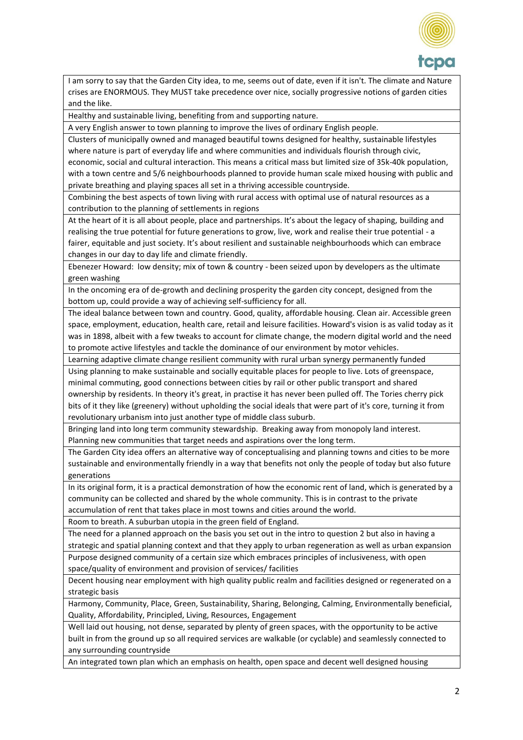

I am sorry to say that the Garden City idea, to me, seems out of date, even if it isn't. The climate and Nature crises are ENORMOUS. They MUST take precedence over nice, socially progressive notions of garden cities and the like.

Healthy and sustainable living, benefiting from and supporting nature.

A very English answer to town planning to improve the lives of ordinary English people.

Clusters of municipally owned and managed beautiful towns designed for healthy, sustainable lifestyles where nature is part of everyday life and where communities and individuals flourish through civic, economic, social and cultural interaction. This means a critical mass but limited size of 35k-40k population, with a town centre and 5/6 neighbourhoods planned to provide human scale mixed housing with public and private breathing and playing spaces all set in a thriving accessible countryside.

Combining the best aspects of town living with rural access with optimal use of natural resources as a contribution to the planning of settlements in regions

At the heart of it is all about people, place and partnerships. It's about the legacy of shaping, building and realising the true potential for future generations to grow, live, work and realise their true potential - a fairer, equitable and just society. It's about resilient and sustainable neighbourhoods which can embrace changes in our day to day life and climate friendly.

Ebenezer Howard: low density; mix of town & country - been seized upon by developers as the ultimate green washing

In the oncoming era of de-growth and declining prosperity the garden city concept, designed from the bottom up, could provide a way of achieving self-sufficiency for all.

The ideal balance between town and country. Good, quality, affordable housing. Clean air. Accessible green space, employment, education, health care, retail and leisure facilities. Howard's vision is as valid today as it was in 1898, albeit with a few tweaks to account for climate change, the modern digital world and the need to promote active lifestyles and tackle the dominance of our environment by motor vehicles.

Learning adaptive climate change resilient community with rural urban synergy permanently funded

Using planning to make sustainable and socially equitable places for people to live. Lots of greenspace, minimal commuting, good connections between cities by rail or other public transport and shared ownership by residents. In theory it's great, in practise it has never been pulled off. The Tories cherry pick

bits of it they like (greenery) without upholding the social ideals that were part of it's core, turning it from revolutionary urbanism into just another type of middle class suburb.

Bringing land into long term community stewardship. Breaking away from monopoly land interest. Planning new communities that target needs and aspirations over the long term.

The Garden City idea offers an alternative way of conceptualising and planning towns and cities to be more sustainable and environmentally friendly in a way that benefits not only the people of today but also future generations

In its original form, it is a practical demonstration of how the economic rent of land, which is generated by a community can be collected and shared by the whole community. This is in contrast to the private accumulation of rent that takes place in most towns and cities around the world.

Room to breath. A suburban utopia in the green field of England.

The need for a planned approach on the basis you set out in the intro to question 2 but also in having a strategic and spatial planning context and that they apply to urban regeneration as well as urban expansion

Purpose designed community of a certain size which embraces principles of inclusiveness, with open space/quality of environment and provision of services/ facilities

Decent housing near employment with high quality public realm and facilities designed or regenerated on a strategic basis

Harmony, Community, Place, Green, Sustainability, Sharing, Belonging, Calming, Environmentally beneficial, Quality, Affordability, Principled, Living, Resources, Engagement

Well laid out housing, not dense, separated by plenty of green spaces, with the opportunity to be active built in from the ground up so all required services are walkable (or cyclable) and seamlessly connected to any surrounding countryside

An integrated town plan which an emphasis on health, open space and decent well designed housing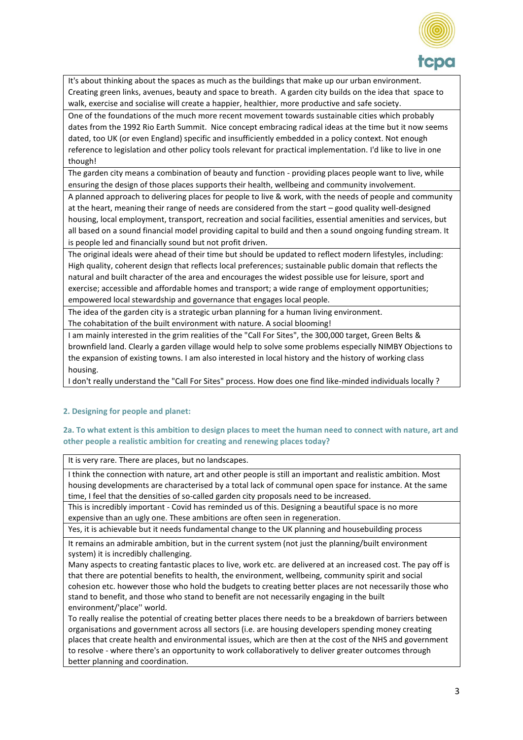

It's about thinking about the spaces as much as the buildings that make up our urban environment. Creating green links, avenues, beauty and space to breath. A garden city builds on the idea that space to walk, exercise and socialise will create a happier, healthier, more productive and safe society.

One of the foundations of the much more recent movement towards sustainable cities which probably dates from the 1992 Rio Earth Summit. Nice concept embracing radical ideas at the time but it now seems dated, too UK (or even England) specific and insufficiently embedded in a policy context. Not enough reference to legislation and other policy tools relevant for practical implementation. I'd like to live in one though!

The garden city means a combination of beauty and function - providing places people want to live, while ensuring the design of those places supports their health, wellbeing and community involvement.

A planned approach to delivering places for people to live & work, with the needs of people and community at the heart, meaning their range of needs are considered from the start – good quality well-designed housing, local employment, transport, recreation and social facilities, essential amenities and services, but all based on a sound financial model providing capital to build and then a sound ongoing funding stream. It is people led and financially sound but not profit driven.

The original ideals were ahead of their time but should be updated to reflect modern lifestyles, including: High quality, coherent design that reflects local preferences; sustainable public domain that reflects the natural and built character of the area and encourages the widest possible use for leisure, sport and exercise; accessible and affordable homes and transport; a wide range of employment opportunities; empowered local stewardship and governance that engages local people.

The idea of the garden city is a strategic urban planning for a human living environment.

The cohabitation of the built environment with nature. A social blooming!

I am mainly interested in the grim realities of the "Call For Sites", the 300,000 target, Green Belts & brownfield land. Clearly a garden village would help to solve some problems especially NIMBY Objections to the expansion of existing towns. I am also interested in local history and the history of working class housing.

I don't really understand the "Call For Sites" process. How does one find like-minded individuals locally ?

## **2. Designing for people and planet:**

### **2a. To what extent is this ambition to design places to meet the human need to connect with nature, art and other people a realistic ambition for creating and renewing places today?**

It is very rare. There are places, but no landscapes.

I think the connection with nature, art and other people is still an important and realistic ambition. Most housing developments are characterised by a total lack of communal open space for instance. At the same time, I feel that the densities of so-called garden city proposals need to be increased.

This is incredibly important - Covid has reminded us of this. Designing a beautiful space is no more expensive than an ugly one. These ambitions are often seen in regeneration.

Yes, it is achievable but it needs fundamental change to the UK planning and housebuilding process

It remains an admirable ambition, but in the current system (not just the planning/built environment system) it is incredibly challenging.

Many aspects to creating fantastic places to live, work etc. are delivered at an increased cost. The pay off is that there are potential benefits to health, the environment, wellbeing, community spirit and social cohesion etc. however those who hold the budgets to creating better places are not necessarily those who stand to benefit, and those who stand to benefit are not necessarily engaging in the built environment/'place'' world.

To really realise the potential of creating better places there needs to be a breakdown of barriers between organisations and government across all sectors (i.e. are housing developers spending money creating places that create health and environmental issues, which are then at the cost of the NHS and government to resolve - where there's an opportunity to work collaboratively to deliver greater outcomes through better planning and coordination.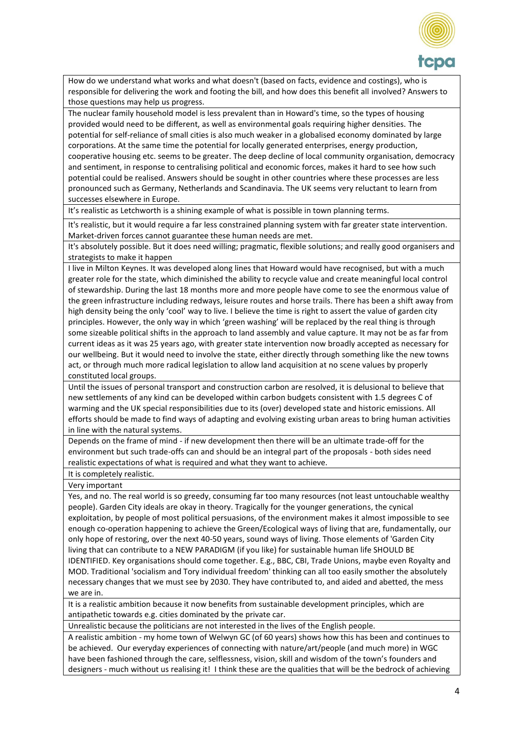

How do we understand what works and what doesn't (based on facts, evidence and costings), who is responsible for delivering the work and footing the bill, and how does this benefit all involved? Answers to those questions may help us progress.

The nuclear family household model is less prevalent than in Howard's time, so the types of housing provided would need to be different, as well as environmental goals requiring higher densities. The potential for self-reliance of small cities is also much weaker in a globalised economy dominated by large corporations. At the same time the potential for locally generated enterprises, energy production, cooperative housing etc. seems to be greater. The deep decline of local community organisation, democracy and sentiment, in response to centralising political and economic forces, makes it hard to see how such potential could be realised. Answers should be sought in other countries where these processes are less pronounced such as Germany, Netherlands and Scandinavia. The UK seems very reluctant to learn from successes elsewhere in Europe.

It's realistic as Letchworth is a shining example of what is possible in town planning terms.

It's realistic, but it would require a far less constrained planning system with far greater state intervention. Market-driven forces cannot guarantee these human needs are met.

It's absolutely possible. But it does need willing; pragmatic, flexible solutions; and really good organisers and strategists to make it happen

I live in Milton Keynes. It was developed along lines that Howard would have recognised, but with a much greater role for the state, which diminished the ability to recycle value and create meaningful local control of stewardship. During the last 18 months more and more people have come to see the enormous value of the green infrastructure including redways, leisure routes and horse trails. There has been a shift away from high density being the only 'cool' way to live. I believe the time is right to assert the value of garden city principles. However, the only way in which 'green washing' will be replaced by the real thing is through some sizeable political shifts in the approach to land assembly and value capture. It may not be as far from current ideas as it was 25 years ago, with greater state intervention now broadly accepted as necessary for our wellbeing. But it would need to involve the state, either directly through something like the new towns act, or through much more radical legislation to allow land acquisition at no scene values by properly constituted local groups.

Until the issues of personal transport and construction carbon are resolved, it is delusional to believe that new settlements of any kind can be developed within carbon budgets consistent with 1.5 degrees C of warming and the UK special responsibilities due to its (over) developed state and historic emissions. All efforts should be made to find ways of adapting and evolving existing urban areas to bring human activities in line with the natural systems.

Depends on the frame of mind - if new development then there will be an ultimate trade-off for the environment but such trade-offs can and should be an integral part of the proposals - both sides need realistic expectations of what is required and what they want to achieve.

It is completely realistic.

Very important

Yes, and no. The real world is so greedy, consuming far too many resources (not least untouchable wealthy people). Garden City ideals are okay in theory. Tragically for the younger generations, the cynical exploitation, by people of most political persuasions, of the environment makes it almost impossible to see enough co-operation happening to achieve the Green/Ecological ways of living that are, fundamentally, our only hope of restoring, over the next 40-50 years, sound ways of living. Those elements of 'Garden City living that can contribute to a NEW PARADIGM (if you like) for sustainable human life SHOULD BE IDENTIFIED. Key organisations should come together. E.g., BBC, CBI, Trade Unions, maybe even Royalty and MOD. Traditional 'socialism and Tory individual freedom' thinking can all too easily smother the absolutely necessary changes that we must see by 2030. They have contributed to, and aided and abetted, the mess we are in.

It is a realistic ambition because it now benefits from sustainable development principles, which are antipathetic towards e.g. cities dominated by the private car.

Unrealistic because the politicians are not interested in the lives of the English people.

A realistic ambition - my home town of Welwyn GC (of 60 years) shows how this has been and continues to be achieved. Our everyday experiences of connecting with nature/art/people (and much more) in WGC have been fashioned through the care, selflessness, vision, skill and wisdom of the town's founders and designers - much without us realising it! I think these are the qualities that will be the bedrock of achieving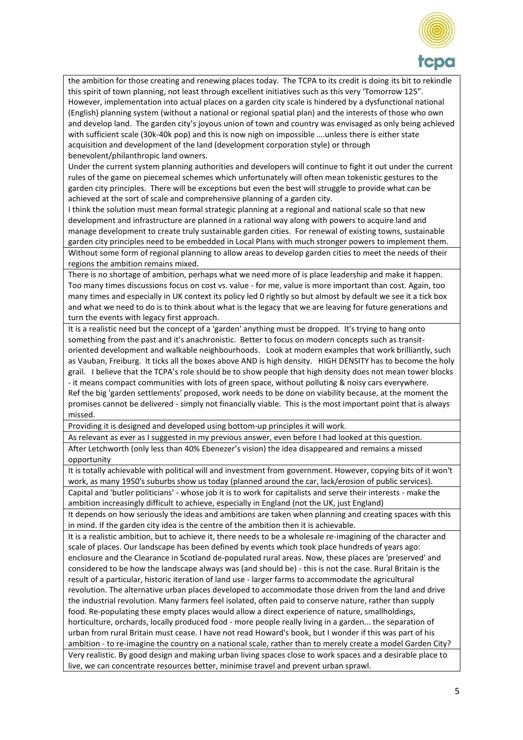

the ambition for those creating and renewing places today. The TCPA to its credit is doing its bit to rekindle this spirit of town planning, not least through excellent initiatives such as this very 'Tomorrow 125". However, implementation into actual places on a garden city scale is hindered by a dysfunctional national (English) planning system (without a national or regional spatial plan) and the interests of those who own and develop land. The garden city's joyous union of town and country was envisaged as only being achieved with sufficient scale (30k-40k pop) and this is now nigh on impossible ….unless there is either state acquisition and development of the land (development corporation style) or through benevolent/philanthropic land owners.

Under the current system planning authorities and developers will continue to fight it out under the current rules of the game on piecemeal schemes which unfortunately will often mean tokenistic gestures to the garden city principles. There will be exceptions but even the best will struggle to provide what can be achieved at the sort of scale and comprehensive planning of a garden city.

I think the solution must mean formal strategic planning at a regional and national scale so that new development and infrastructure are planned in a rational way along with powers to acquire land and manage development to create truly sustainable garden cities. For renewal of existing towns, sustainable garden city principles need to be embedded in Local Plans with much stronger powers to implement them. Without some form of regional planning to allow areas to develop garden cities to meet the needs of their regions the ambition remains mixed.

There is no shortage of ambition, perhaps what we need more of is place leadership and make it happen. Too many times discussions focus on cost vs. value - for me, value is more important than cost. Again, too many times and especially in UK context its policy led 0 rightly so but almost by default we see it a tick box and what we need to do is to think about what is the legacy that we are leaving for future generations and turn the events with legacy first approach.

It is a realistic need but the concept of a 'garden' anything must be dropped. It's trying to hang onto something from the past and it's anachronistic. Better to focus on modern concepts such as transitoriented development and walkable neighbourhoods. Look at modern examples that work brilliantly, such as Vauban, Freiburg. It ticks all the boxes above AND is high density. HIGH DENSITY has to become the holy grail. I believe that the TCPA's role should be to show people that high density does not mean tower blocks - it means compact communities with lots of green space, without polluting & noisy cars everywhere. Ref the big 'garden settlements' proposed, work needs to be done on viability because, at the moment the promises cannot be delivered - simply not financially viable. This is the most important point that is always missed.

Providing it is designed and developed using bottom-up principles it will work.

As relevant as ever as I suggested in my previous answer, even before I had looked at this question. After Letchworth (only less than 40% Ebenezer's vision) the idea disappeared and remains a missed opportunity

It is totally achievable with political will and investment from government. However, copying bits of it won't work, as many 1950's suburbs show us today (planned around the car, lack/erosion of public services).

Capital and 'butler politicians' - whose job it is to work for capitalists and serve their interests - make the ambition increasingly difficult to achieve, especially in England (not the UK, just England)

It depends on how seriously the ideas and ambitions are taken when planning and creating spaces with this in mind. If the garden city idea is the centre of the ambition then it is achievable.

It is a realistic ambition, but to achieve it, there needs to be a wholesale re-imagining of the character and scale of places. Our landscape has been defined by events which took place hundreds of years ago: enclosure and the Clearance in Scotland de-populated rural areas. Now, these places are 'preserved' and considered to be how the landscape always was (and should be) - this is not the case. Rural Britain is the result of a particular, historic iteration of land use - larger farms to accommodate the agricultural revolution. The alternative urban places developed to accommodate those driven from the land and drive the industrial revolution. Many farmers feel isolated, often paid to conserve nature, rather than supply food. Re-populating these empty places would allow a direct experience of nature, smallholdings, horticulture, orchards, locally produced food - more people really living in a garden... the separation of urban from rural Britain must cease. I have not read Howard's book, but I wonder if this was part of his ambition - to re-imagine the country on a national scale, rather than to merely create a model Garden City? Very realistic. By good design and making urban living spaces close to work spaces and a desirable place to live, we can concentrate resources better, minimise travel and prevent urban sprawl.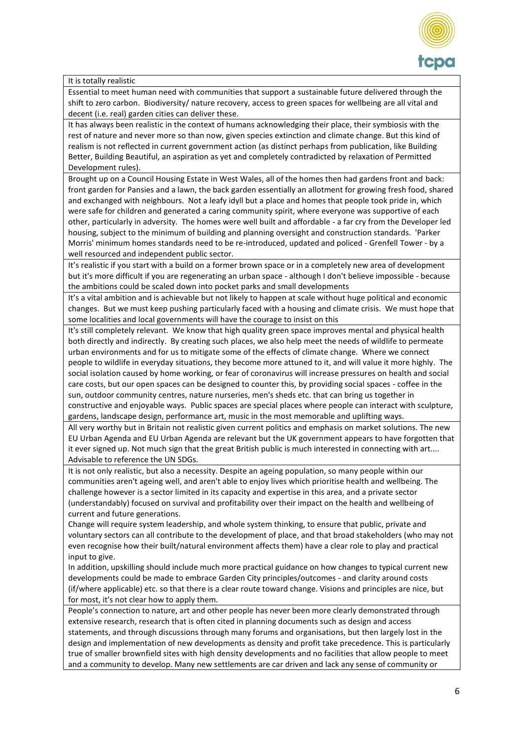

#### It is totally realistic

Essential to meet human need with communities that support a sustainable future delivered through the shift to zero carbon. Biodiversity/ nature recovery, access to green spaces for wellbeing are all vital and decent (i.e. real) garden cities can deliver these.

It has always been realistic in the context of humans acknowledging their place, their symbiosis with the rest of nature and never more so than now, given species extinction and climate change. But this kind of realism is not reflected in current government action (as distinct perhaps from publication, like Building Better, Building Beautiful, an aspiration as yet and completely contradicted by relaxation of Permitted Development rules).

Brought up on a Council Housing Estate in West Wales, all of the homes then had gardens front and back: front garden for Pansies and a lawn, the back garden essentially an allotment for growing fresh food, shared and exchanged with neighbours. Not a leafy idyll but a place and homes that people took pride in, which were safe for children and generated a caring community spirit, where everyone was supportive of each other, particularly in adversity. The homes were well built and affordable - a far cry from the Developer led housing, subject to the minimum of building and planning oversight and construction standards. 'Parker Morris' minimum homes standards need to be re-introduced, updated and policed - Grenfell Tower - by a well resourced and independent public sector.

It's realistic if you start with a build on a former brown space or in a completely new area of development but it's more difficult if you are regenerating an urban space - although I don't believe impossible - because the ambitions could be scaled down into pocket parks and small developments

It's a vital ambition and is achievable but not likely to happen at scale without huge political and economic changes. But we must keep pushing particularly faced with a housing and climate crisis. We must hope that some localities and local governments will have the courage to insist on this

It's still completely relevant. We know that high quality green space improves mental and physical health both directly and indirectly. By creating such places, we also help meet the needs of wildlife to permeate urban environments and for us to mitigate some of the effects of climate change. Where we connect people to wildlife in everyday situations, they become more attuned to it, and will value it more highly. The social isolation caused by home working, or fear of coronavirus will increase pressures on health and social care costs, but our open spaces can be designed to counter this, by providing social spaces - coffee in the sun, outdoor community centres, nature nurseries, men's sheds etc. that can bring us together in constructive and enjoyable ways. Public spaces are special places where people can interact with sculpture, gardens, landscape design, performance art, music in the most memorable and uplifting ways.

All very worthy but in Britain not realistic given current politics and emphasis on market solutions. The new EU Urban Agenda and EU Urban Agenda are relevant but the UK government appears to have forgotten that it ever signed up. Not much sign that the great British public is much interested in connecting with art.... Advisable to reference the UN SDGs.

It is not only realistic, but also a necessity. Despite an ageing population, so many people within our communities aren't ageing well, and aren't able to enjoy lives which prioritise health and wellbeing. The challenge however is a sector limited in its capacity and expertise in this area, and a private sector (understandably) focused on survival and profitability over their impact on the health and wellbeing of current and future generations.

Change will require system leadership, and whole system thinking, to ensure that public, private and voluntary sectors can all contribute to the development of place, and that broad stakeholders (who may not even recognise how their built/natural environment affects them) have a clear role to play and practical input to give.

In addition, upskilling should include much more practical guidance on how changes to typical current new developments could be made to embrace Garden City principles/outcomes - and clarity around costs (if/where applicable) etc. so that there is a clear route toward change. Visions and principles are nice, but for most, it's not clear how to apply them.

People's connection to nature, art and other people has never been more clearly demonstrated through extensive research, research that is often cited in planning documents such as design and access statements, and through discussions through many forums and organisations, but then largely lost in the design and implementation of new developments as density and profit take precedence. This is particularly true of smaller brownfield sites with high density developments and no facilities that allow people to meet and a community to develop. Many new settlements are car driven and lack any sense of community or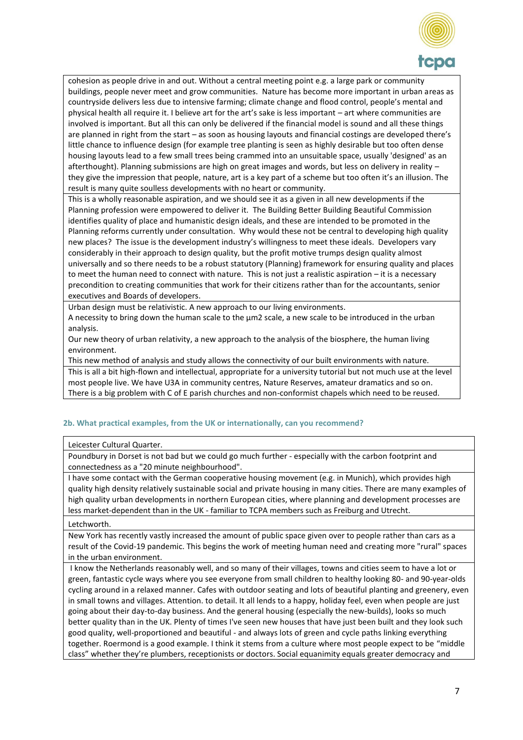

cohesion as people drive in and out. Without a central meeting point e.g. a large park or community buildings, people never meet and grow communities. Nature has become more important in urban areas as countryside delivers less due to intensive farming; climate change and flood control, people's mental and physical health all require it. I believe art for the art's sake is less important – art where communities are involved is important. But all this can only be delivered if the financial model is sound and all these things are planned in right from the start – as soon as housing layouts and financial costings are developed there's little chance to influence design (for example tree planting is seen as highly desirable but too often dense housing layouts lead to a few small trees being crammed into an unsuitable space, usually 'designed' as an afterthought). Planning submissions are high on great images and words, but less on delivery in reality – they give the impression that people, nature, art is a key part of a scheme but too often it's an illusion. The result is many quite soulless developments with no heart or community.

This is a wholly reasonable aspiration, and we should see it as a given in all new developments if the Planning profession were empowered to deliver it. The Building Better Building Beautiful Commission identifies quality of place and humanistic design ideals, and these are intended to be promoted in the Planning reforms currently under consultation. Why would these not be central to developing high quality new places? The issue is the development industry's willingness to meet these ideals. Developers vary considerably in their approach to design quality, but the profit motive trumps design quality almost universally and so there needs to be a robust statutory (Planning) framework for ensuring quality and places to meet the human need to connect with nature. This is not just a realistic aspiration – it is a necessary precondition to creating communities that work for their citizens rather than for the accountants, senior executives and Boards of developers.

Urban design must be relativistic. A new approach to our living environments.

A necessity to bring down the human scale to the µm2 scale, a new scale to be introduced in the urban analysis.

Our new theory of urban relativity, a new approach to the analysis of the biosphere, the human living environment.

This new method of analysis and study allows the connectivity of our built environments with nature. This is all a bit high-flown and intellectual, appropriate for a university tutorial but not much use at the level most people live. We have U3A in community centres, Nature Reserves, amateur dramatics and so on. There is a big problem with C of E parish churches and non-conformist chapels which need to be reused.

## **2b. What practical examples, from the UK or internationally, can you recommend?**

#### Leicester Cultural Quarter.

Poundbury in Dorset is not bad but we could go much further - especially with the carbon footprint and connectedness as a "20 minute neighbourhood".

I have some contact with the German cooperative housing movement (e.g. in Munich), which provides high quality high density relatively sustainable social and private housing in many cities. There are many examples of high quality urban developments in northern European cities, where planning and development processes are less market-dependent than in the UK - familiar to TCPA members such as Freiburg and Utrecht.

#### Letchworth.

New York has recently vastly increased the amount of public space given over to people rather than cars as a result of the Covid-19 pandemic. This begins the work of meeting human need and creating more "rural" spaces in the urban environment.

I know the Netherlands reasonably well, and so many of their villages, towns and cities seem to have a lot or green, fantastic cycle ways where you see everyone from small children to healthy looking 80- and 90-year-olds cycling around in a relaxed manner. Cafes with outdoor seating and lots of beautiful planting and greenery, even in small towns and villages. Attention. to detail. It all lends to a happy, holiday feel, even when people are just going about their day-to-day business. And the general housing (especially the new-builds), looks so much better quality than in the UK. Plenty of times I've seen new houses that have just been built and they look such good quality, well-proportioned and beautiful - and always lots of green and cycle paths linking everything together. Roermond is a good example. I think it stems from a culture where most people expect to be "middle class" whether they're plumbers, receptionists or doctors. Social equanimity equals greater democracy and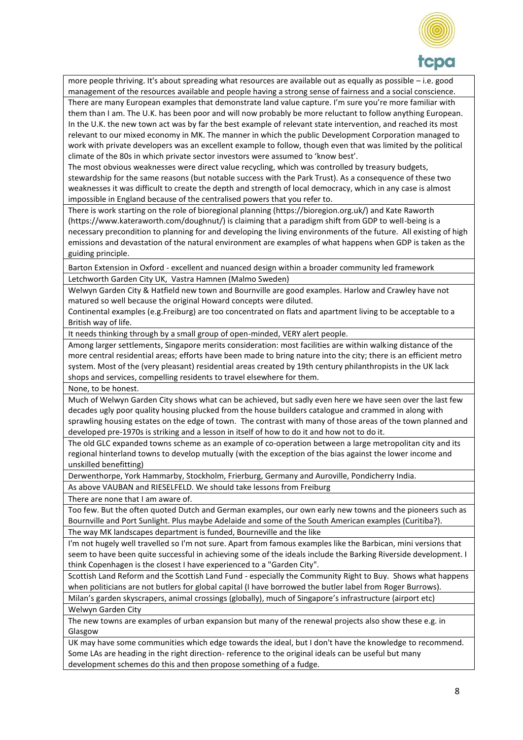

more people thriving. It's about spreading what resources are available out as equally as possible – i.e. good management of the resources available and people having a strong sense of fairness and a social conscience. There are many European examples that demonstrate land value capture. I'm sure you're more familiar with

them than I am. The U.K. has been poor and will now probably be more reluctant to follow anything European. In the U.K. the new town act was by far the best example of relevant state intervention, and reached its most relevant to our mixed economy in MK. The manner in which the public Development Corporation managed to work with private developers was an excellent example to follow, though even that was limited by the political climate of the 80s in which private sector investors were assumed to 'know best'.

The most obvious weaknesses were direct value recycling, which was controlled by treasury budgets, stewardship for the same reasons (but notable success with the Park Trust). As a consequence of these two weaknesses it was difficult to create the depth and strength of local democracy, which in any case is almost impossible in England because of the centralised powers that you refer to.

There is work starting on the role of bioregional planning (https://bioregion.org.uk/) and Kate Raworth (https://www.kateraworth.com/doughnut/) is claiming that a paradigm shift from GDP to well-being is a necessary precondition to planning for and developing the living environments of the future. All existing of high emissions and devastation of the natural environment are examples of what happens when GDP is taken as the guiding principle.

Barton Extension in Oxford - excellent and nuanced design within a broader community led framework Letchworth Garden City UK, Vastra Hamnen (Malmo Sweden)

Welwyn Garden City & Hatfield new town and Bournville are good examples. Harlow and Crawley have not matured so well because the original Howard concepts were diluted.

Continental examples (e.g.Freiburg) are too concentrated on flats and apartment living to be acceptable to a British way of life.

It needs thinking through by a small group of open-minded, VERY alert people.

Among larger settlements, Singapore merits consideration: most facilities are within walking distance of the more central residential areas; efforts have been made to bring nature into the city; there is an efficient metro system. Most of the (very pleasant) residential areas created by 19th century philanthropists in the UK lack shops and services, compelling residents to travel elsewhere for them.

None, to be honest.

Much of Welwyn Garden City shows what can be achieved, but sadly even here we have seen over the last few decades ugly poor quality housing plucked from the house builders catalogue and crammed in along with sprawling housing estates on the edge of town. The contrast with many of those areas of the town planned and developed pre-1970s is striking and a lesson in itself of how to do it and how not to do it.

The old GLC expanded towns scheme as an example of co-operation between a large metropolitan city and its regional hinterland towns to develop mutually (with the exception of the bias against the lower income and unskilled benefitting)

Derwenthorpe, York Hammarby, Stockholm, Frierburg, Germany and Auroville, Pondicherry India.

As above VAUBAN and RIESELFELD. We should take lessons from Freiburg

There are none that I am aware of.

Too few. But the often quoted Dutch and German examples, our own early new towns and the pioneers such as Bournville and Port Sunlight. Plus maybe Adelaide and some of the South American examples (Curitiba?).

The way MK landscapes department is funded, Bourneville and the like

I'm not hugely well travelled so I'm not sure. Apart from famous examples like the Barbican, mini versions that seem to have been quite successful in achieving some of the ideals include the Barking Riverside development. I think Copenhagen is the closest I have experienced to a "Garden City".

Scottish Land Reform and the Scottish Land Fund - especially the Community Right to Buy. Shows what happens when politicians are not butlers for global capital (I have borrowed the butler label from Roger Burrows).

Milan's garden skyscrapers, animal crossings (globally), much of Singapore's infrastructure (airport etc) Welwyn Garden City

The new towns are examples of urban expansion but many of the renewal projects also show these e.g. in Glasgow

UK may have some communities which edge towards the ideal, but I don't have the knowledge to recommend. Some LAs are heading in the right direction- reference to the original ideals can be useful but many development schemes do this and then propose something of a fudge.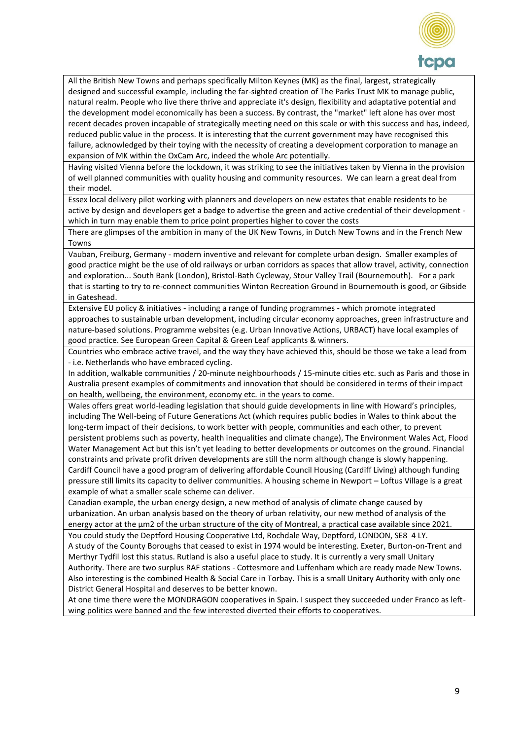

All the British New Towns and perhaps specifically Milton Keynes (MK) as the final, largest, strategically designed and successful example, including the far-sighted creation of The Parks Trust MK to manage public, natural realm. People who live there thrive and appreciate it's design, flexibility and adaptative potential and the development model economically has been a success. By contrast, the "market" left alone has over most recent decades proven incapable of strategically meeting need on this scale or with this success and has, indeed, reduced public value in the process. It is interesting that the current government may have recognised this failure, acknowledged by their toying with the necessity of creating a development corporation to manage an expansion of MK within the OxCam Arc, indeed the whole Arc potentially.

Having visited Vienna before the lockdown, it was striking to see the initiatives taken by Vienna in the provision of well planned communities with quality housing and community resources. We can learn a great deal from their model.

Essex local delivery pilot working with planners and developers on new estates that enable residents to be active by design and developers get a badge to advertise the green and active credential of their development which in turn may enable them to price point properties higher to cover the costs

There are glimpses of the ambition in many of the UK New Towns, in Dutch New Towns and in the French New Towns

Vauban, Freiburg, Germany - modern inventive and relevant for complete urban design. Smaller examples of good practice might be the use of old railways or urban corridors as spaces that allow travel, activity, connection and exploration... South Bank (London), Bristol-Bath Cycleway, Stour Valley Trail (Bournemouth). For a park that is starting to try to re-connect communities Winton Recreation Ground in Bournemouth is good, or Gibside in Gateshead.

Extensive EU policy & initiatives - including a range of funding programmes - which promote integrated approaches to sustainable urban development, including circular economy approaches, green infrastructure and nature-based solutions. Programme websites (e.g. Urban Innovative Actions, URBACT) have local examples of good practice. See European Green Capital & Green Leaf applicants & winners.

Countries who embrace active travel, and the way they have achieved this, should be those we take a lead from - i.e. Netherlands who have embraced cycling.

In addition, walkable communities / 20-minute neighbourhoods / 15-minute cities etc. such as Paris and those in Australia present examples of commitments and innovation that should be considered in terms of their impact on health, wellbeing, the environment, economy etc. in the years to come.

Wales offers great world-leading legislation that should guide developments in line with Howard's principles, including The Well-being of Future Generations Act (which requires public bodies in Wales to think about the long-term impact of their decisions, to work better with people, communities and each other, to prevent persistent problems such as poverty, health inequalities and climate change), The Environment Wales Act, Flood Water Management Act but this isn't yet leading to better developments or outcomes on the ground. Financial constraints and private profit driven developments are still the norm although change is slowly happening. Cardiff Council have a good program of delivering affordable Council Housing (Cardiff Living) although funding pressure still limits its capacity to deliver communities. A housing scheme in Newport – Loftus Village is a great example of what a smaller scale scheme can deliver.

Canadian example, the urban energy design, a new method of analysis of climate change caused by urbanization. An urban analysis based on the theory of urban relativity, our new method of analysis of the energy actor at the µm2 of the urban structure of the city of Montreal, a practical case available since 2021.

You could study the Deptford Housing Cooperative Ltd, Rochdale Way, Deptford, LONDON, SE8 4 LY. A study of the County Boroughs that ceased to exist in 1974 would be interesting. Exeter, Burton-on-Trent and Merthyr Tydfil lost this status. Rutland is also a useful place to study. It is currently a very small Unitary Authority. There are two surplus RAF stations - Cottesmore and Luffenham which are ready made New Towns. Also interesting is the combined Health & Social Care in Torbay. This is a small Unitary Authority with only one District General Hospital and deserves to be better known.

At one time there were the MONDRAGON cooperatives in Spain. I suspect they succeeded under Franco as leftwing politics were banned and the few interested diverted their efforts to cooperatives.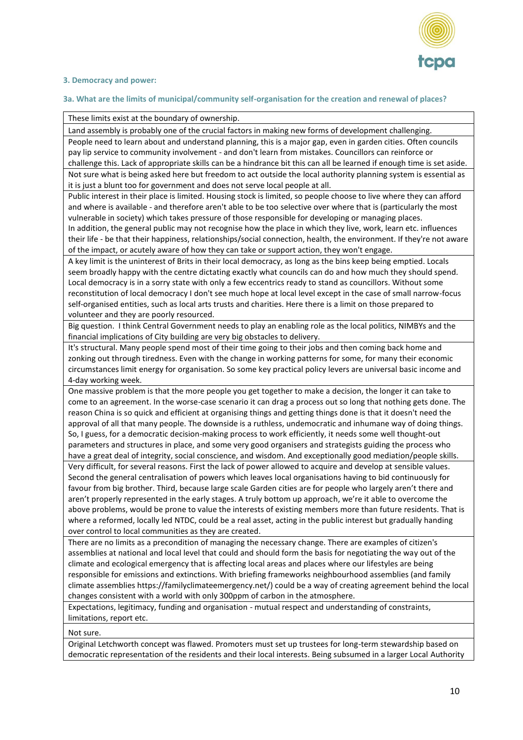

#### **3. Democracy and power:**

#### **3a. What are the limits of municipal/community self-organisation for the creation and renewal of places?**

#### These limits exist at the boundary of ownership.

Land assembly is probably one of the crucial factors in making new forms of development challenging. People need to learn about and understand planning, this is a major gap, even in garden cities. Often councils pay lip service to community involvement - and don't learn from mistakes. Councillors can reinforce or challenge this. Lack of appropriate skills can be a hindrance bit this can all be learned if enough time is set aside. Not sure what is being asked here but freedom to act outside the local authority planning system is essential as it is just a blunt too for government and does not serve local people at all.

Public interest in their place is limited. Housing stock is limited, so people choose to live where they can afford and where is available - and therefore aren't able to be too selective over where that is (particularly the most vulnerable in society) which takes pressure of those responsible for developing or managing places. In addition, the general public may not recognise how the place in which they live, work, learn etc. influences

their life - be that their happiness, relationships/social connection, health, the environment. If they're not aware of the impact, or acutely aware of how they can take or support action, they won't engage.

A key limit is the uninterest of Brits in their local democracy, as long as the bins keep being emptied. Locals seem broadly happy with the centre dictating exactly what councils can do and how much they should spend. Local democracy is in a sorry state with only a few eccentrics ready to stand as councillors. Without some reconstitution of local democracy I don't see much hope at local level except in the case of small narrow-focus self-organised entities, such as local arts trusts and charities. Here there is a limit on those prepared to volunteer and they are poorly resourced.

Big question. I think Central Government needs to play an enabling role as the local politics, NIMBYs and the financial implications of City building are very big obstacles to delivery.

It's structural. Many people spend most of their time going to their jobs and then coming back home and zonking out through tiredness. Even with the change in working patterns for some, for many their economic circumstances limit energy for organisation. So some key practical policy levers are universal basic income and 4-day working week.

One massive problem is that the more people you get together to make a decision, the longer it can take to come to an agreement. In the worse-case scenario it can drag a process out so long that nothing gets done. The reason China is so quick and efficient at organising things and getting things done is that it doesn't need the approval of all that many people. The downside is a ruthless, undemocratic and inhumane way of doing things. So, I guess, for a democratic decision-making process to work efficiently, it needs some well thought-out parameters and structures in place, and some very good organisers and strategists guiding the process who have a great deal of integrity, social conscience, and wisdom. And exceptionally good mediation/people skills. Very difficult, for several reasons. First the lack of power allowed to acquire and develop at sensible values. Second the general centralisation of powers which leaves local organisations having to bid continuously for favour from big brother. Third, because large scale Garden cities are for people who largely aren't there and aren't properly represented in the early stages. A truly bottom up approach, we're it able to overcome the above problems, would be prone to value the interests of existing members more than future residents. That is where a reformed, locally led NTDC, could be a real asset, acting in the public interest but gradually handing over control to local communities as they are created.

There are no limits as a precondition of managing the necessary change. There are examples of citizen's assemblies at national and local level that could and should form the basis for negotiating the way out of the climate and ecological emergency that is affecting local areas and places where our lifestyles are being responsible for emissions and extinctions. With briefing frameworks neighbourhood assemblies (and family climate assemblies https://familyclimateemergency.net/) could be a way of creating agreement behind the local changes consistent with a world with only 300ppm of carbon in the atmosphere.

Expectations, legitimacy, funding and organisation - mutual respect and understanding of constraints, limitations, report etc.

Not sure.

Original Letchworth concept was flawed. Promoters must set up trustees for long-term stewardship based on democratic representation of the residents and their local interests. Being subsumed in a larger Local Authority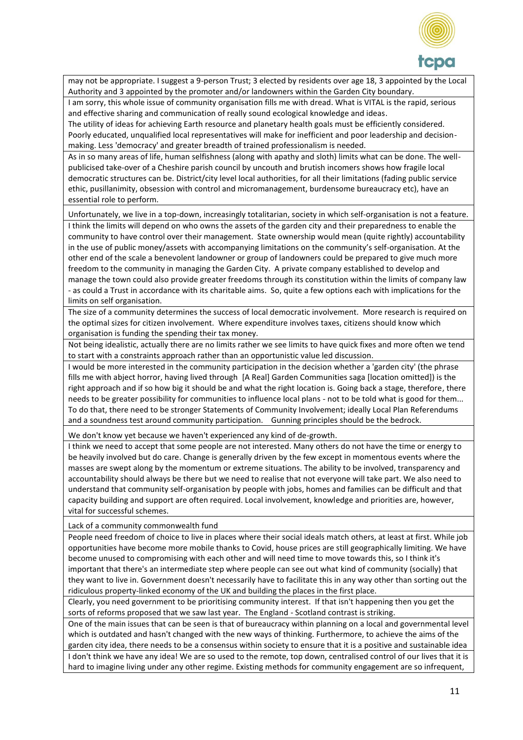

may not be appropriate. I suggest a 9-person Trust; 3 elected by residents over age 18, 3 appointed by the Local Authority and 3 appointed by the promoter and/or landowners within the Garden City boundary.

I am sorry, this whole issue of community organisation fills me with dread. What is VITAL is the rapid, serious and effective sharing and communication of really sound ecological knowledge and ideas.

The utility of ideas for achieving Earth resource and planetary health goals must be efficiently considered. Poorly educated, unqualified local representatives will make for inefficient and poor leadership and decisionmaking. Less 'democracy' and greater breadth of trained professionalism is needed.

As in so many areas of life, human selfishness (along with apathy and sloth) limits what can be done. The wellpublicised take-over of a Cheshire parish council by uncouth and brutish incomers shows how fragile local democratic structures can be. District/city level local authorities, for all their limitations (fading public service ethic, pusillanimity, obsession with control and micromanagement, burdensome bureaucracy etc), have an essential role to perform.

Unfortunately, we live in a top-down, increasingly totalitarian, society in which self-organisation is not a feature. I think the limits will depend on who owns the assets of the garden city and their preparedness to enable the community to have control over their management. State ownership would mean (quite rightly) accountability in the use of public money/assets with accompanying limitations on the community's self-organisation. At the other end of the scale a benevolent landowner or group of landowners could be prepared to give much more freedom to the community in managing the Garden City. A private company established to develop and manage the town could also provide greater freedoms through its constitution within the limits of company law - as could a Trust in accordance with its charitable aims. So, quite a few options each with implications for the limits on self organisation.

The size of a community determines the success of local democratic involvement. More research is required on the optimal sizes for citizen involvement. Where expenditure involves taxes, citizens should know which organisation is funding the spending their tax money.

Not being idealistic, actually there are no limits rather we see limits to have quick fixes and more often we tend to start with a constraints approach rather than an opportunistic value led discussion.

I would be more interested in the community participation in the decision whether a 'garden city' (the phrase fills me with abject horror, having lived through [A Real] Garden Communities saga [location omitted]) is the right approach and if so how big it should be and what the right location is. Going back a stage, therefore, there needs to be greater possibility for communities to influence local plans - not to be told what is good for them... To do that, there need to be stronger Statements of Community Involvement; ideally Local Plan Referendums and a soundness test around community participation. Gunning principles should be the bedrock.

We don't know yet because we haven't experienced any kind of de-growth.

I think we need to accept that some people are not interested. Many others do not have the time or energy to be heavily involved but do care. Change is generally driven by the few except in momentous events where the masses are swept along by the momentum or extreme situations. The ability to be involved, transparency and accountability should always be there but we need to realise that not everyone will take part. We also need to understand that community self-organisation by people with jobs, homes and families can be difficult and that capacity building and support are often required. Local involvement, knowledge and priorities are, however, vital for successful schemes.

Lack of a community commonwealth fund

People need freedom of choice to live in places where their social ideals match others, at least at first. While job opportunities have become more mobile thanks to Covid, house prices are still geographically limiting. We have become unused to compromising with each other and will need time to move towards this, so I think it's important that there's an intermediate step where people can see out what kind of community (socially) that they want to live in. Government doesn't necessarily have to facilitate this in any way other than sorting out the ridiculous property-linked economy of the UK and building the places in the first place.

Clearly, you need government to be prioritising community interest. If that isn't happening then you get the sorts of reforms proposed that we saw last year. The England - Scotland contrast is striking.

One of the main issues that can be seen is that of bureaucracy within planning on a local and governmental level which is outdated and hasn't changed with the new ways of thinking. Furthermore, to achieve the aims of the garden city idea, there needs to be a consensus within society to ensure that it is a positive and sustainable idea

I don't think we have any idea! We are so used to the remote, top down, centralised control of our lives that it is hard to imagine living under any other regime. Existing methods for community engagement are so infrequent,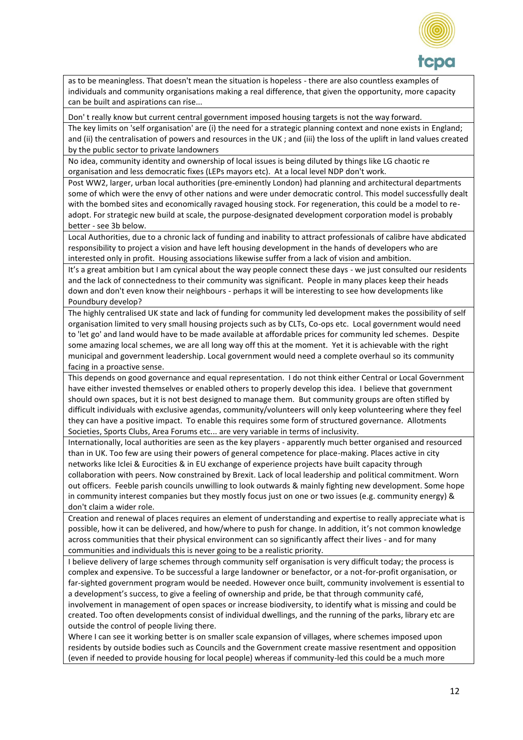

as to be meaningless. That doesn't mean the situation is hopeless - there are also countless examples of individuals and community organisations making a real difference, that given the opportunity, more capacity can be built and aspirations can rise...

Don' t really know but current central government imposed housing targets is not the way forward.

The key limits on 'self organisation' are (i) the need for a strategic planning context and none exists in England; and (ii) the centralisation of powers and resources in the UK ; and (iii) the loss of the uplift in land values created by the public sector to private landowners

No idea, community identity and ownership of local issues is being diluted by things like LG chaotic re organisation and less democratic fixes (LEPs mayors etc). At a local level NDP don't work.

Post WW2, larger, urban local authorities (pre-eminently London) had planning and architectural departments some of which were the envy of other nations and were under democratic control. This model successfully dealt with the bombed sites and economically ravaged housing stock. For regeneration, this could be a model to readopt. For strategic new build at scale, the purpose-designated development corporation model is probably better - see 3b below.

Local Authorities, due to a chronic lack of funding and inability to attract professionals of calibre have abdicated responsibility to project a vision and have left housing development in the hands of developers who are interested only in profit. Housing associations likewise suffer from a lack of vision and ambition.

It's a great ambition but I am cynical about the way people connect these days - we just consulted our residents and the lack of connectedness to their community was significant. People in many places keep their heads down and don't even know their neighbours - perhaps it will be interesting to see how developments like Poundbury develop?

The highly centralised UK state and lack of funding for community led development makes the possibility of self organisation limited to very small housing projects such as by CLTs, Co-ops etc. Local government would need to 'let go' and land would have to be made available at affordable prices for community led schemes. Despite some amazing local schemes, we are all long way off this at the moment. Yet it is achievable with the right municipal and government leadership. Local government would need a complete overhaul so its community facing in a proactive sense.

This depends on good governance and equal representation. I do not think either Central or Local Government have either invested themselves or enabled others to properly develop this idea. I believe that government should own spaces, but it is not best designed to manage them. But community groups are often stifled by difficult individuals with exclusive agendas, community/volunteers will only keep volunteering where they feel they can have a positive impact. To enable this requires some form of structured governance. Allotments Societies, Sports Clubs, Area Forums etc... are very variable in terms of inclusivity.

Internationally, local authorities are seen as the key players - apparently much better organised and resourced than in UK. Too few are using their powers of general competence for place-making. Places active in city networks like Iclei & Eurocities & in EU exchange of experience projects have built capacity through collaboration with peers. Now constrained by Brexit. Lack of local leadership and political commitment. Worn out officers. Feeble parish councils unwilling to look outwards & mainly fighting new development. Some hope in community interest companies but they mostly focus just on one or two issues (e.g. community energy) & don't claim a wider role.

Creation and renewal of places requires an element of understanding and expertise to really appreciate what is possible, how it can be delivered, and how/where to push for change. In addition, it's not common knowledge across communities that their physical environment can so significantly affect their lives - and for many communities and individuals this is never going to be a realistic priority.

I believe delivery of large schemes through community self organisation is very difficult today; the process is complex and expensive. To be successful a large landowner or benefactor, or a not-for-profit organisation, or far-sighted government program would be needed. However once built, community involvement is essential to a development's success, to give a feeling of ownership and pride, be that through community café, involvement in management of open spaces or increase biodiversity, to identify what is missing and could be created. Too often developments consist of individual dwellings, and the running of the parks, library etc are outside the control of people living there.

Where I can see it working better is on smaller scale expansion of villages, where schemes imposed upon residents by outside bodies such as Councils and the Government create massive resentment and opposition (even if needed to provide housing for local people) whereas if community-led this could be a much more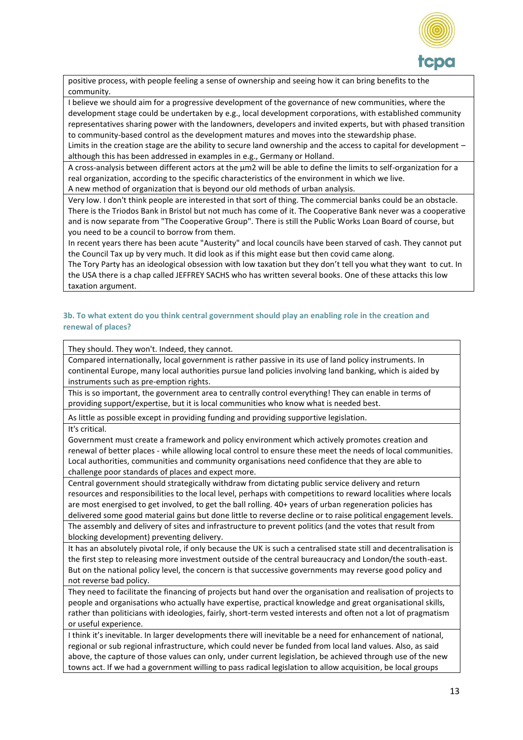

positive process, with people feeling a sense of ownership and seeing how it can bring benefits to the community.

I believe we should aim for a progressive development of the governance of new communities, where the development stage could be undertaken by e.g., local development corporations, with established community representatives sharing power with the landowners, developers and invited experts, but with phased transition to community-based control as the development matures and moves into the stewardship phase.

Limits in the creation stage are the ability to secure land ownership and the access to capital for development – although this has been addressed in examples in e.g., Germany or Holland.

A cross-analysis between different actors at the  $\mu$ m2 will be able to define the limits to self-organization for a real organization, according to the specific characteristics of the environment in which we live. A new method of organization that is beyond our old methods of urban analysis.

Very low. I don't think people are interested in that sort of thing. The commercial banks could be an obstacle. There is the Triodos Bank in Bristol but not much has come of it. The Cooperative Bank never was a cooperative and is now separate from "The Cooperative Group". There is still the Public Works Loan Board of course, but you need to be a council to borrow from them.

In recent years there has been acute "Austerity" and local councils have been starved of cash. They cannot put the Council Tax up by very much. It did look as if this might ease but then covid came along.

The Tory Party has an ideological obsession with low taxation but they don't tell you what they want to cut. In the USA there is a chap called JEFFREY SACHS who has written several books. One of these attacks this low taxation argument.

## **3b. To what extent do you think central government should play an enabling role in the creation and renewal of places?**

They should. They won't. Indeed, they cannot.

Compared internationally, local government is rather passive in its use of land policy instruments. In continental Europe, many local authorities pursue land policies involving land banking, which is aided by instruments such as pre-emption rights.

This is so important, the government area to centrally control everything! They can enable in terms of providing support/expertise, but it is local communities who know what is needed best.

As little as possible except in providing funding and providing supportive legislation.

It's critical.

Government must create a framework and policy environment which actively promotes creation and renewal of better places - while allowing local control to ensure these meet the needs of local communities. Local authorities, communities and community organisations need confidence that they are able to challenge poor standards of places and expect more.

Central government should strategically withdraw from dictating public service delivery and return resources and responsibilities to the local level, perhaps with competitions to reward localities where locals are most energised to get involved, to get the ball rolling. 40+ years of urban regeneration policies has delivered some good material gains but done little to reverse decline or to raise political engagement levels.

The assembly and delivery of sites and infrastructure to prevent politics (and the votes that result from blocking development) preventing delivery.

It has an absolutely pivotal role, if only because the UK is such a centralised state still and decentralisation is the first step to releasing more investment outside of the central bureaucracy and London/the south-east. But on the national policy level, the concern is that successive governments may reverse good policy and not reverse bad policy.

They need to facilitate the financing of projects but hand over the organisation and realisation of projects to people and organisations who actually have expertise, practical knowledge and great organisational skills, rather than politicians with ideologies, fairly, short-term vested interests and often not a lot of pragmatism or useful experience.

I think it's inevitable. In larger developments there will inevitable be a need for enhancement of national, regional or sub regional infrastructure, which could never be funded from local land values. Also, as said above, the capture of those values can only, under current legislation, be achieved through use of the new towns act. If we had a government willing to pass radical legislation to allow acquisition, be local groups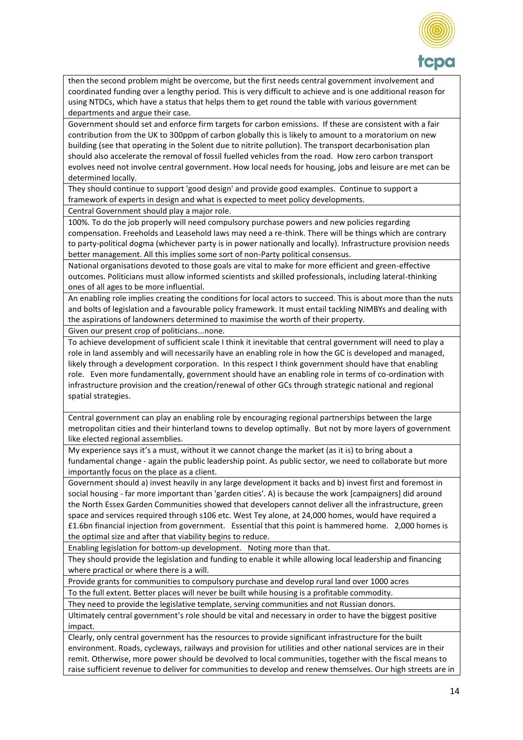

then the second problem might be overcome, but the first needs central government involvement and coordinated funding over a lengthy period. This is very difficult to achieve and is one additional reason for using NTDCs, which have a status that helps them to get round the table with various government departments and argue their case.

Government should set and enforce firm targets for carbon emissions. If these are consistent with a fair contribution from the UK to 300ppm of carbon globally this is likely to amount to a moratorium on new building (see that operating in the Solent due to nitrite pollution). The transport decarbonisation plan should also accelerate the removal of fossil fuelled vehicles from the road. How zero carbon transport evolves need not involve central government. How local needs for housing, jobs and leisure are met can be determined locally.

They should continue to support 'good design' and provide good examples. Continue to support a framework of experts in design and what is expected to meet policy developments.

Central Government should play a major role.

100%. To do the job properly will need compulsory purchase powers and new policies regarding compensation. Freeholds and Leasehold laws may need a re-think. There will be things which are contrary to party-political dogma (whichever party is in power nationally and locally). Infrastructure provision needs better management. All this implies some sort of non-Party political consensus.

National organisations devoted to those goals are vital to make for more efficient and green-effective outcomes. Politicians must allow informed scientists and skilled professionals, including lateral-thinking ones of all ages to be more influential.

An enabling role implies creating the conditions for local actors to succeed. This is about more than the nuts and bolts of legislation and a favourable policy framework. It must entail tackling NIMBYs and dealing with the aspirations of landowners determined to maximise the worth of their property.

Given our present crop of politicians...none.

To achieve development of sufficient scale I think it inevitable that central government will need to play a role in land assembly and will necessarily have an enabling role in how the GC is developed and managed, likely through a development corporation. In this respect I think government should have that enabling role. Even more fundamentally, government should have an enabling role in terms of co-ordination with infrastructure provision and the creation/renewal of other GCs through strategic national and regional spatial strategies.

Central government can play an enabling role by encouraging regional partnerships between the large metropolitan cities and their hinterland towns to develop optimally. But not by more layers of government like elected regional assemblies.

My experience says it's a must, without it we cannot change the market (as it is) to bring about a fundamental change - again the public leadership point. As public sector, we need to collaborate but more importantly focus on the place as a client.

Government should a) invest heavily in any large development it backs and b) invest first and foremost in social housing - far more important than 'garden cities'. A) is because the work [campaigners] did around the North Essex Garden Communities showed that developers cannot deliver all the infrastructure, green space and services required through s106 etc. West Tey alone, at 24,000 homes, would have required a £1.6bn financial injection from government. Essential that this point is hammered home. 2,000 homes is the optimal size and after that viability begins to reduce.

Enabling legislation for bottom-up development. Noting more than that.

They should provide the legislation and funding to enable it while allowing local leadership and financing where practical or where there is a will.

Provide grants for communities to compulsory purchase and develop rural land over 1000 acres

To the full extent. Better places will never be built while housing is a profitable commodity.

They need to provide the legislative template, serving communities and not Russian donors.

Ultimately central government's role should be vital and necessary in order to have the biggest positive impact.

Clearly, only central government has the resources to provide significant infrastructure for the built environment. Roads, cycleways, railways and provision for utilities and other national services are in their remit. Otherwise, more power should be devolved to local communities, together with the fiscal means to raise sufficient revenue to deliver for communities to develop and renew themselves. Our high streets are in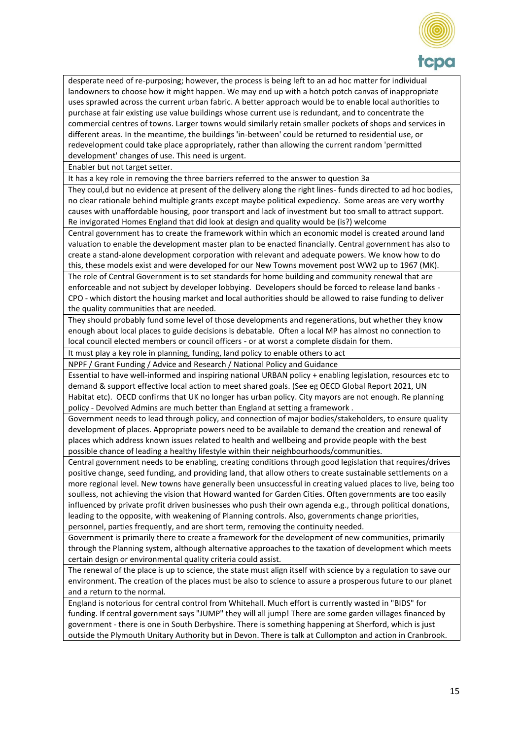

desperate need of re-purposing; however, the process is being left to an ad hoc matter for individual landowners to choose how it might happen. We may end up with a hotch potch canvas of inappropriate uses sprawled across the current urban fabric. A better approach would be to enable local authorities to purchase at fair existing use value buildings whose current use is redundant, and to concentrate the commercial centres of towns. Larger towns would similarly retain smaller pockets of shops and services in different areas. In the meantime, the buildings 'in-between' could be returned to residential use, or redevelopment could take place appropriately, rather than allowing the current random 'permitted development' changes of use. This need is urgent.

Enabler but not target setter.

It has a key role in removing the three barriers referred to the answer to question 3a

They coul,d but no evidence at present of the delivery along the right lines- funds directed to ad hoc bodies, no clear rationale behind multiple grants except maybe political expediency. Some areas are very worthy causes with unaffordable housing, poor transport and lack of investment but too small to attract support. Re invigorated Homes England that did look at design and quality would be (is?) welcome

Central government has to create the framework within which an economic model is created around land valuation to enable the development master plan to be enacted financially. Central government has also to create a stand-alone development corporation with relevant and adequate powers. We know how to do this, these models exist and were developed for our New Towns movement post WW2 up to 1967 (MK).

The role of Central Government is to set standards for home building and community renewal that are enforceable and not subject by developer lobbying. Developers should be forced to release land banks - CPO - which distort the housing market and local authorities should be allowed to raise funding to deliver the quality communities that are needed.

They should probably fund some level of those developments and regenerations, but whether they know enough about local places to guide decisions is debatable. Often a local MP has almost no connection to local council elected members or council officers - or at worst a complete disdain for them.

It must play a key role in planning, funding, land policy to enable others to act

NPPF / Grant Funding / Advice and Research / National Policy and Guidance

Essential to have well-informed and inspiring national URBAN policy + enabling legislation, resources etc to demand & support effective local action to meet shared goals. (See eg OECD Global Report 2021, UN Habitat etc). OECD confirms that UK no longer has urban policy. City mayors are not enough. Re planning policy - Devolved Admins are much better than England at setting a framework .

Government needs to lead through policy, and connection of major bodies/stakeholders, to ensure quality development of places. Appropriate powers need to be available to demand the creation and renewal of places which address known issues related to health and wellbeing and provide people with the best possible chance of leading a healthy lifestyle within their neighbourhoods/communities.

Central government needs to be enabling, creating conditions through good legislation that requires/drives positive change, seed funding, and providing land, that allow others to create sustainable settlements on a more regional level. New towns have generally been unsuccessful in creating valued places to live, being too soulless, not achieving the vision that Howard wanted for Garden Cities. Often governments are too easily influenced by private profit driven businesses who push their own agenda e.g., through political donations, leading to the opposite, with weakening of Planning controls. Also, governments change priorities, personnel, parties frequently, and are short term, removing the continuity needed.

Government is primarily there to create a framework for the development of new communities, primarily through the Planning system, although alternative approaches to the taxation of development which meets certain design or environmental quality criteria could assist.

The renewal of the place is up to science, the state must align itself with science by a regulation to save our environment. The creation of the places must be also to science to assure a prosperous future to our planet and a return to the normal.

England is notorious for central control from Whitehall. Much effort is currently wasted in "BIDS" for funding. If central government says "JUMP" they will all jump! There are some garden villages financed by government - there is one in South Derbyshire. There is something happening at Sherford, which is just outside the Plymouth Unitary Authority but in Devon. There is talk at Cullompton and action in Cranbrook.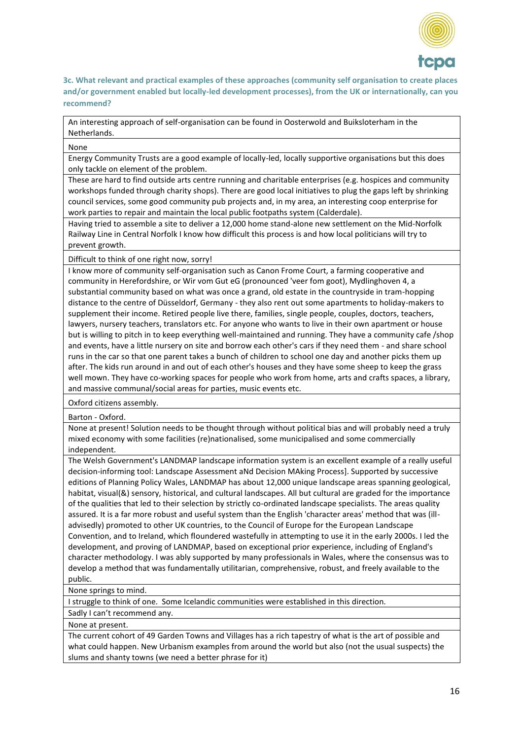

**3c. What relevant and practical examples of these approaches (community self organisation to create places and/or government enabled but locally-led development processes), from the UK or internationally, can you recommend?**

An interesting approach of self-organisation can be found in Oosterwold and Buiksloterham in the Netherlands.

#### None

Energy Community Trusts are a good example of locally-led, locally supportive organisations but this does only tackle on element of the problem.

These are hard to find outside arts centre running and charitable enterprises (e.g. hospices and community workshops funded through charity shops). There are good local initiatives to plug the gaps left by shrinking council services, some good community pub projects and, in my area, an interesting coop enterprise for work parties to repair and maintain the local public footpaths system (Calderdale).

Having tried to assemble a site to deliver a 12,000 home stand-alone new settlement on the Mid-Norfolk Railway Line in Central Norfolk I know how difficult this process is and how local politicians will try to prevent growth.

Difficult to think of one right now, sorry!

I know more of community self-organisation such as Canon Frome Court, a farming cooperative and community in Herefordshire, or Wir vom Gut eG (pronounced 'veer fom goot), Mydlinghoven 4, a substantial community based on what was once a grand, old estate in the countryside in tram-hopping distance to the centre of Düsseldorf, Germany - they also rent out some apartments to holiday-makers to supplement their income. Retired people live there, families, single people, couples, doctors, teachers, lawyers, nursery teachers, translators etc. For anyone who wants to live in their own apartment or house but is willing to pitch in to keep everything well-maintained and running. They have a community cafe /shop and events, have a little nursery on site and borrow each other's cars if they need them - and share school runs in the car so that one parent takes a bunch of children to school one day and another picks them up after. The kids run around in and out of each other's houses and they have some sheep to keep the grass well mown. They have co-working spaces for people who work from home, arts and crafts spaces, a library, and massive communal/social areas for parties, music events etc.

Oxford citizens assembly.

Barton - Oxford.

None at present! Solution needs to be thought through without political bias and will probably need a truly mixed economy with some facilities (re)nationalised, some municipalised and some commercially independent.

The Welsh Government's LANDMAP landscape information system is an excellent example of a really useful decision-informing tool: Landscape Assessment aNd Decision MAking Process]. Supported by successive editions of Planning Policy Wales, LANDMAP has about 12,000 unique landscape areas spanning geological, habitat, visual(&) sensory, historical, and cultural landscapes. All but cultural are graded for the importance of the qualities that led to their selection by strictly co-ordinated landscape specialists. The areas quality assured. It is a far more robust and useful system than the English 'character areas' method that was (illadvisedly) promoted to other UK countries, to the Council of Europe for the European Landscape Convention, and to Ireland, which floundered wastefully in attempting to use it in the early 2000s. I led the development, and proving of LANDMAP, based on exceptional prior experience, including of England's character methodology. I was ably supported by many professionals in Wales, where the consensus was to develop a method that was fundamentally utilitarian, comprehensive, robust, and freely available to the public.

None springs to mind.

I struggle to think of one. Some Icelandic communities were established in this direction.

Sadly I can't recommend any.

None at present.

The current cohort of 49 Garden Towns and Villages has a rich tapestry of what is the art of possible and what could happen. New Urbanism examples from around the world but also (not the usual suspects) the slums and shanty towns (we need a better phrase for it)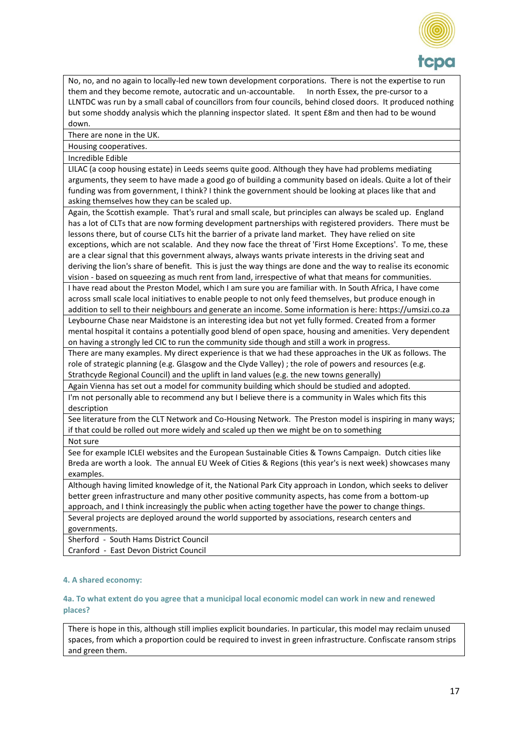

No, no, and no again to locally-led new town development corporations. There is not the expertise to run them and they become remote, autocratic and un-accountable. In north Essex, the pre-cursor to a LLNTDC was run by a small cabal of councillors from four councils, behind closed doors. It produced nothing but some shoddy analysis which the planning inspector slated. It spent £8m and then had to be wound down.

There are none in the UK.

Housing cooperatives.

Incredible Edible

LILAC (a coop housing estate) in Leeds seems quite good. Although they have had problems mediating arguments, they seem to have made a good go of building a community based on ideals. Quite a lot of their funding was from government, I think? I think the government should be looking at places like that and asking themselves how they can be scaled up.

Again, the Scottish example. That's rural and small scale, but principles can always be scaled up. England has a lot of CLTs that are now forming development partnerships with registered providers. There must be lessons there, but of course CLTs hit the barrier of a private land market. They have relied on site exceptions, which are not scalable. And they now face the threat of 'First Home Exceptions'. To me, these are a clear signal that this government always, always wants private interests in the driving seat and deriving the lion's share of benefit. This is just the way things are done and the way to realise its economic

vision - based on squeezing as much rent from land, irrespective of what that means for communities. I have read about the Preston Model, which I am sure you are familiar with. In South Africa, I have come across small scale local initiatives to enable people to not only feed themselves, but produce enough in

addition to sell to their neighbours and generate an income. Some information is here: https://umsizi.co.za Leybourne Chase near Maidstone is an interesting idea but not yet fully formed. Created from a former mental hospital it contains a potentially good blend of open space, housing and amenities. Very dependent on having a strongly led CIC to run the community side though and still a work in progress.

There are many examples. My direct experience is that we had these approaches in the UK as follows. The role of strategic planning (e.g. Glasgow and the Clyde Valley) ; the role of powers and resources (e.g. Strathcyde Regional Council) and the uplift in land values (e.g. the new towns generally)

Again Vienna has set out a model for community building which should be studied and adopted. I'm not personally able to recommend any but I believe there is a community in Wales which fits this

description

See literature from the CLT Network and Co-Housing Network. The Preston model is inspiring in many ways; if that could be rolled out more widely and scaled up then we might be on to something

Not sure

See for example ICLEI websites and the European Sustainable Cities & Towns Campaign. Dutch cities like Breda are worth a look. The annual EU Week of Cities & Regions (this year's is next week) showcases many examples.

Although having limited knowledge of it, the National Park City approach in London, which seeks to deliver better green infrastructure and many other positive community aspects, has come from a bottom-up approach, and I think increasingly the public when acting together have the power to change things. Several projects are deployed around the world supported by associations, research centers and governments.

Sherford - South Hams District Council Cranford - East Devon District Council

## **4. A shared economy:**

**4a. To what extent do you agree that a municipal local economic model can work in new and renewed places?** 

There is hope in this, although still implies explicit boundaries. In particular, this model may reclaim unused spaces, from which a proportion could be required to invest in green infrastructure. Confiscate ransom strips and green them.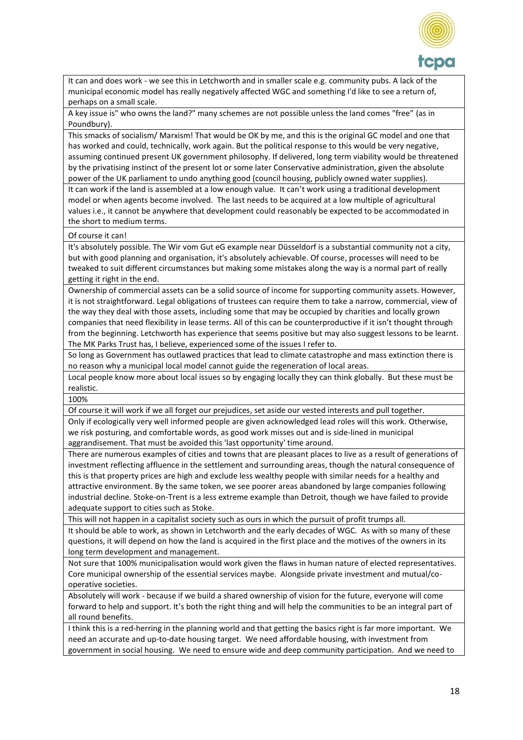

It can and does work - we see this in Letchworth and in smaller scale e.g. community pubs. A lack of the municipal economic model has really negatively affected WGC and something I'd like to see a return of, perhaps on a small scale.

A key issue is" who owns the land?" many schemes are not possible unless the land comes "free" (as in Poundbury).

This smacks of socialism/ Marxism! That would be OK by me, and this is the original GC model and one that has worked and could, technically, work again. But the political response to this would be very negative, assuming continued present UK government philosophy. If delivered, long term viability would be threatened by the privatising instinct of the present lot or some later Conservative administration, given the absolute power of the UK parliament to undo anything good (council housing, publicly owned water supplies).

It can work if the land is assembled at a low enough value. It can't work using a traditional development model or when agents become involved. The last needs to be acquired at a low multiple of agricultural values i.e., it cannot be anywhere that development could reasonably be expected to be accommodated in the short to medium terms.

#### Of course it can!

It's absolutely possible. The Wir vom Gut eG example near Düsseldorf is a substantial community not a city, but with good planning and organisation, it's absolutely achievable. Of course, processes will need to be tweaked to suit different circumstances but making some mistakes along the way is a normal part of really getting it right in the end.

Ownership of commercial assets can be a solid source of income for supporting community assets. However, it is not straightforward. Legal obligations of trustees can require them to take a narrow, commercial, view of the way they deal with those assets, including some that may be occupied by charities and locally grown companies that need flexibility in lease terms. All of this can be counterproductive if it isn't thought through from the beginning. Letchworth has experience that seems positive but may also suggest lessons to be learnt. The MK Parks Trust has, I believe, experienced some of the issues I refer to.

So long as Government has outlawed practices that lead to climate catastrophe and mass extinction there is no reason why a municipal local model cannot guide the regeneration of local areas.

Local people know more about local issues so by engaging locally they can think globally. But these must be realistic.

100%

Of course it will work if we all forget our prejudices, set aside our vested interests and pull together. Only if ecologically very well informed people are given acknowledged lead roles will this work. Otherwise, we risk posturing, and comfortable words, as good work misses out and is side-lined in municipal aggrandisement. That must be avoided this 'last opportunity' time around.

There are numerous examples of cities and towns that are pleasant places to live as a result of generations of investment reflecting affluence in the settlement and surrounding areas, though the natural consequence of this is that property prices are high and exclude less wealthy people with similar needs for a healthy and attractive environment. By the same token, we see poorer areas abandoned by large companies following industrial decline. Stoke-on-Trent is a less extreme example than Detroit, though we have failed to provide adequate support to cities such as Stoke.

This will not happen in a capitalist society such as ours in which the pursuit of profit trumps all.

It should be able to work, as shown in Letchworth and the early decades of WGC. As with so many of these questions, it will depend on how the land is acquired in the first place and the motives of the owners in its long term development and management.

Not sure that 100% municipalisation would work given the flaws in human nature of elected representatives. Core municipal ownership of the essential services maybe. Alongside private investment and mutual/cooperative societies.

Absolutely will work - because if we build a shared ownership of vision for the future, everyone will come forward to help and support. It's both the right thing and will help the communities to be an integral part of all round benefits.

I think this is a red-herring in the planning world and that getting the basics right is far more important. We need an accurate and up-to-date housing target. We need affordable housing, with investment from government in social housing. We need to ensure wide and deep community participation. And we need to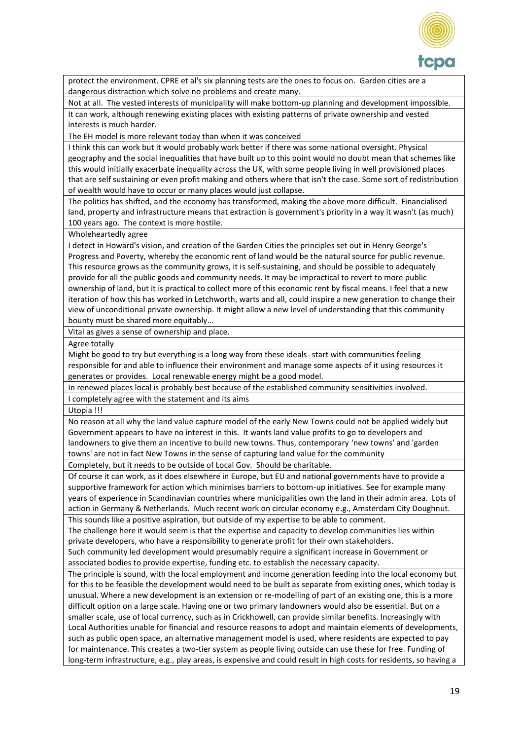

protect the environment. CPRE et al's six planning tests are the ones to focus on. Garden cities are a dangerous distraction which solve no problems and create many.

Not at all. The vested interests of municipality will make bottom-up planning and development impossible. It can work, although renewing existing places with existing patterns of private ownership and vested interests is much harder.

The EH model is more relevant today than when it was conceived

I think this can work but it would probably work better if there was some national oversight. Physical geography and the social inequalities that have built up to this point would no doubt mean that schemes like this would initially exacerbate inequality across the UK, with some people living in well provisioned places that are self sustaining or even profit making and others where that isn't the case. Some sort of redistribution of wealth would have to occur or many places would just collapse.

The politics has shifted, and the economy has transformed, making the above more difficult. Financialised land, property and infrastructure means that extraction is government's priority in a way it wasn't (as much) 100 years ago. The context is more hostile.

Wholeheartedly agree

I detect in Howard's vision, and creation of the Garden Cities the principles set out in Henry George's Progress and Poverty, whereby the economic rent of land would be the natural source for public revenue. This resource grows as the community grows, it is self-sustaining, and should be possible to adequately provide for all the public goods and community needs. It may be impractical to revert to more public ownership of land, but it is practical to collect more of this economic rent by fiscal means. I feel that a new iteration of how this has worked in Letchworth, warts and all, could inspire a new generation to change their view of unconditional private ownership. It might allow a new level of understanding that this community bounty must be shared more equitably...

Vital as gives a sense of ownership and place.

Agree totally

Might be good to try but everything is a long way from these ideals- start with communities feeling responsible for and able to influence their environment and manage some aspects of it using resources it generates or provides. Local renewable energy might be a good model.

In renewed places local is probably best because of the established community sensitivities involved.

I completely agree with the statement and its aims

Utopia !!!

No reason at all why the land value capture model of the early New Towns could not be applied widely but Government appears to have no interest in this. It wants land value profits to go to developers and landowners to give them an incentive to build new towns. Thus, contemporary 'new towns' and 'garden towns' are not in fact New Towns in the sense of capturing land value for the community

Completely, but it needs to be outside of Local Gov. Should be charitable.

Of course it can work, as it does elsewhere in Europe, but EU and national governments have to provide a supportive framework for action which minimises barriers to bottom-up initiatives. See for example many years of experience in Scandinavian countries where municipalities own the land in their admin area. Lots of action in Germany & Netherlands. Much recent work on circular economy e.g., Amsterdam City Doughnut.

This sounds like a positive aspiration, but outside of my expertise to be able to comment.

The challenge here it would seem is that the expertise and capacity to develop communities lies within private developers, who have a responsibility to generate profit for their own stakeholders.

Such community led development would presumably require a significant increase in Government or associated bodies to provide expertise, funding etc. to establish the necessary capacity.

The principle is sound, with the local employment and income generation feeding into the local economy but for this to be feasible the development would need to be built as separate from existing ones, which today is unusual. Where a new development is an extension or re-modelling of part of an existing one, this is a more difficult option on a large scale. Having one or two primary landowners would also be essential. But on a smaller scale, use of local currency, such as in Crickhowell, can provide similar benefits. Increasingly with Local Authorities unable for financial and resource reasons to adopt and maintain elements of developments, such as public open space, an alternative management model is used, where residents are expected to pay for maintenance. This creates a two-tier system as people living outside can use these for free. Funding of long-term infrastructure, e.g., play areas, is expensive and could result in high costs for residents, so having a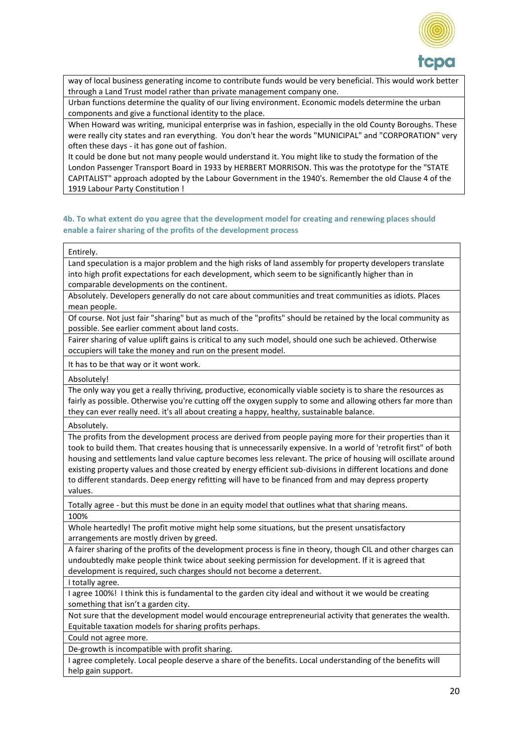

way of local business generating income to contribute funds would be very beneficial. This would work better through a Land Trust model rather than private management company one.

Urban functions determine the quality of our living environment. Economic models determine the urban components and give a functional identity to the place.

When Howard was writing, municipal enterprise was in fashion, especially in the old County Boroughs. These were really city states and ran everything. You don't hear the words "MUNICIPAL" and "CORPORATION" very often these days - it has gone out of fashion.

It could be done but not many people would understand it. You might like to study the formation of the London Passenger Transport Board in 1933 by HERBERT MORRISON. This was the prototype for the "STATE CAPITALIST" approach adopted by the Labour Government in the 1940's. Remember the old Clause 4 of the 1919 Labour Party Constitution !

## **4b. To what extent do you agree that the development model for creating and renewing places should enable a fairer sharing of the profits of the development process**

#### Entirely.

Land speculation is a major problem and the high risks of land assembly for property developers translate into high profit expectations for each development, which seem to be significantly higher than in comparable developments on the continent.

Absolutely. Developers generally do not care about communities and treat communities as idiots. Places mean people.

Of course. Not just fair "sharing" but as much of the "profits" should be retained by the local community as possible. See earlier comment about land costs.

Fairer sharing of value uplift gains is critical to any such model, should one such be achieved. Otherwise occupiers will take the money and run on the present model.

It has to be that way or it wont work.

Absolutely!

The only way you get a really thriving, productive, economically viable society is to share the resources as fairly as possible. Otherwise you're cutting off the oxygen supply to some and allowing others far more than they can ever really need. it's all about creating a happy, healthy, sustainable balance.

Absolutely.

The profits from the development process are derived from people paying more for their properties than it took to build them. That creates housing that is unnecessarily expensive. In a world of 'retrofit first" of both housing and settlements land value capture becomes less relevant. The price of housing will oscillate around existing property values and those created by energy efficient sub-divisions in different locations and done to different standards. Deep energy refitting will have to be financed from and may depress property values.

Totally agree - but this must be done in an equity model that outlines what that sharing means. 100%

Whole heartedly! The profit motive might help some situations, but the present unsatisfactory arrangements are mostly driven by greed.

A fairer sharing of the profits of the development process is fine in theory, though CIL and other charges can undoubtedly make people think twice about seeking permission for development. If it is agreed that development is required, such charges should not become a deterrent.

I totally agree.

I agree 100%! I think this is fundamental to the garden city ideal and without it we would be creating something that isn't a garden city.

Not sure that the development model would encourage entrepreneurial activity that generates the wealth. Equitable taxation models for sharing profits perhaps.

Could not agree more.

De-growth is incompatible with profit sharing.

I agree completely. Local people deserve a share of the benefits. Local understanding of the benefits will help gain support.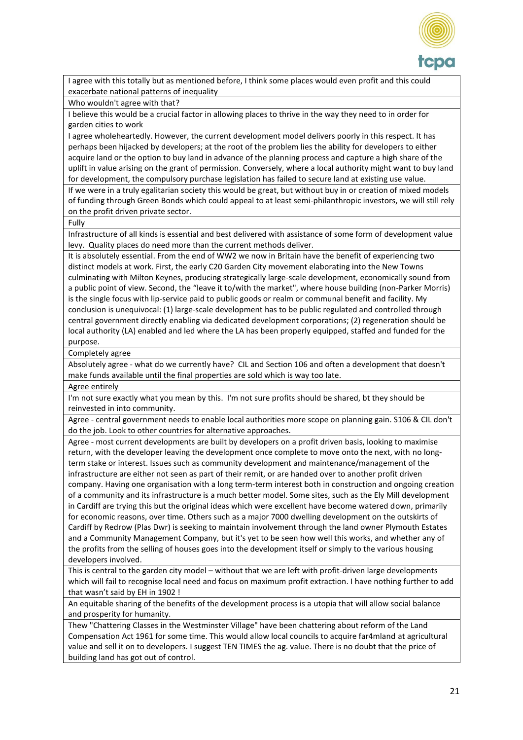

I agree with this totally but as mentioned before, I think some places would even profit and this could exacerbate national patterns of inequality

Who wouldn't agree with that?

I believe this would be a crucial factor in allowing places to thrive in the way they need to in order for garden cities to work

I agree wholeheartedly. However, the current development model delivers poorly in this respect. It has perhaps been hijacked by developers; at the root of the problem lies the ability for developers to either acquire land or the option to buy land in advance of the planning process and capture a high share of the uplift in value arising on the grant of permission. Conversely, where a local authority might want to buy land for development, the compulsory purchase legislation has failed to secure land at existing use value.

If we were in a truly egalitarian society this would be great, but without buy in or creation of mixed models of funding through Green Bonds which could appeal to at least semi-philanthropic investors, we will still rely on the profit driven private sector.

Fully

Infrastructure of all kinds is essential and best delivered with assistance of some form of development value levy. Quality places do need more than the current methods deliver.

It is absolutely essential. From the end of WW2 we now in Britain have the benefit of experiencing two distinct models at work. First, the early C20 Garden City movement elaborating into the New Towns culminating with Milton Keynes, producing strategically large-scale development, economically sound from a public point of view. Second, the "leave it to/with the market", where house building (non-Parker Morris) is the single focus with lip-service paid to public goods or realm or communal benefit and facility. My conclusion is unequivocal: (1) large-scale development has to be public regulated and controlled through central government directly enabling via dedicated development corporations; (2) regeneration should be local authority (LA) enabled and led where the LA has been properly equipped, staffed and funded for the purpose.

Completely agree

Absolutely agree - what do we currently have? CIL and Section 106 and often a development that doesn't make funds available until the final properties are sold which is way too late.

#### Agree entirely

I'm not sure exactly what you mean by this. I'm not sure profits should be shared, bt they should be reinvested in into community.

Agree - central government needs to enable local authorities more scope on planning gain. S106 & CIL don't do the job. Look to other countries for alternative approaches.

Agree - most current developments are built by developers on a profit driven basis, looking to maximise return, with the developer leaving the development once complete to move onto the next, with no longterm stake or interest. Issues such as community development and maintenance/management of the infrastructure are either not seen as part of their remit, or are handed over to another profit driven company. Having one organisation with a long term-term interest both in construction and ongoing creation of a community and its infrastructure is a much better model. Some sites, such as the Ely Mill development in Cardiff are trying this but the original ideas which were excellent have become watered down, primarily for economic reasons, over time. Others such as a major 7000 dwelling development on the outskirts of Cardiff by Redrow (Plas Dwr) is seeking to maintain involvement through the land owner Plymouth Estates and a Community Management Company, but it's yet to be seen how well this works, and whether any of the profits from the selling of houses goes into the development itself or simply to the various housing developers involved.

This is central to the garden city model – without that we are left with profit-driven large developments which will fail to recognise local need and focus on maximum profit extraction. I have nothing further to add that wasn't said by EH in 1902 !

An equitable sharing of the benefits of the development process is a utopia that will allow social balance and prosperity for humanity.

Thew "Chattering Classes in the Westminster Village" have been chattering about reform of the Land Compensation Act 1961 for some time. This would allow local councils to acquire far4mland at agricultural value and sell it on to developers. I suggest TEN TIMES the ag. value. There is no doubt that the price of building land has got out of control.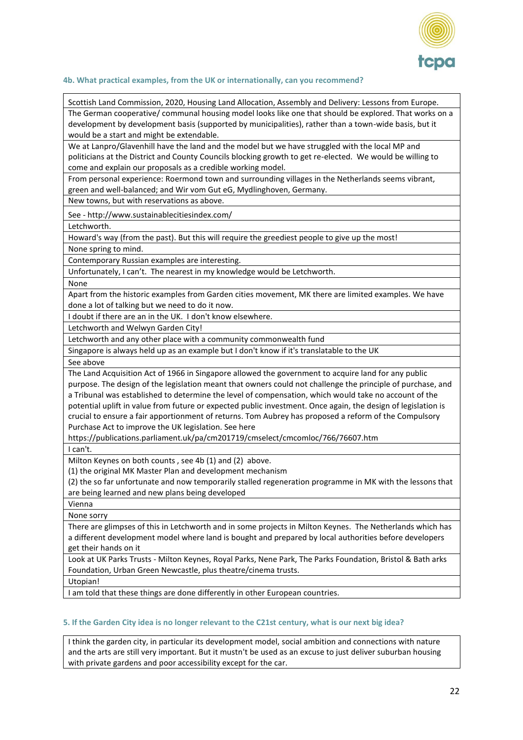

#### **4b. What practical examples, from the UK or internationally, can you recommend?**

Scottish Land Commission, 2020, Housing Land Allocation, Assembly and Delivery: Lessons from Europe. The German cooperative/ communal housing model looks like one that should be explored. That works on a development by development basis (supported by municipalities), rather than a town-wide basis, but it would be a start and might be extendable.

We at Lanpro/Glavenhill have the land and the model but we have struggled with the local MP and politicians at the District and County Councils blocking growth to get re-elected. We would be willing to come and explain our proposals as a credible working model.

From personal experience: Roermond town and surrounding villages in the Netherlands seems vibrant, green and well-balanced; and Wir vom Gut eG, Mydlinghoven, Germany.

New towns, but with reservations as above.

See - http://www.sustainablecitiesindex.com/

Letchworth.

Howard's way (from the past). But this will require the greediest people to give up the most!

None spring to mind.

Contemporary Russian examples are interesting.

Unfortunately, I can't. The nearest in my knowledge would be Letchworth.

None

Apart from the historic examples from Garden cities movement, MK there are limited examples. We have done a lot of talking but we need to do it now.

I doubt if there are an in the UK. I don't know elsewhere.

Letchworth and Welwyn Garden City!

Letchworth and any other place with a community commonwealth fund

Singapore is always held up as an example but I don't know if it's translatable to the UK

See above

The Land Acquisition Act of 1966 in Singapore allowed the government to acquire land for any public purpose. The design of the legislation meant that owners could not challenge the principle of purchase, and a Tribunal was established to determine the level of compensation, which would take no account of the potential uplift in value from future or expected public investment. Once again, the design of legislation is crucial to ensure a fair apportionment of returns. Tom Aubrey has proposed a reform of the Compulsory Purchase Act to improve the UK legislation. See here

https://publications.parliament.uk/pa/cm201719/cmselect/cmcomloc/766/76607.htm

I can't.

Milton Keynes on both counts , see 4b (1) and (2) above.

(1) the original MK Master Plan and development mechanism

(2) the so far unfortunate and now temporarily stalled regeneration programme in MK with the lessons that are being learned and new plans being developed

Vienna

None sorry

There are glimpses of this in Letchworth and in some projects in Milton Keynes. The Netherlands which has a different development model where land is bought and prepared by local authorities before developers get their hands on it

Look at UK Parks Trusts - Milton Keynes, Royal Parks, Nene Park, The Parks Foundation, Bristol & Bath arks Foundation, Urban Green Newcastle, plus theatre/cinema trusts.

Utopian!

I am told that these things are done differently in other European countries.

#### **5. If the Garden City idea is no longer relevant to the C21st century, what is our next big idea?**

I think the garden city, in particular its development model, social ambition and connections with nature and the arts are still very important. But it mustn't be used as an excuse to just deliver suburban housing with private gardens and poor accessibility except for the car.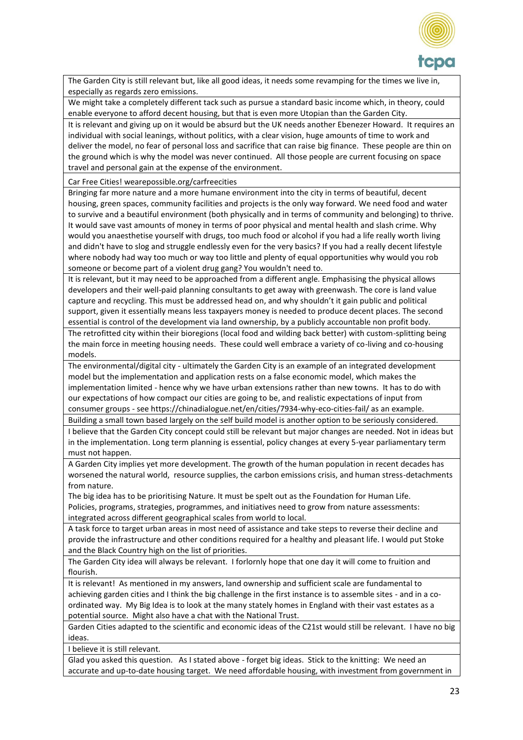

The Garden City is still relevant but, like all good ideas, it needs some revamping for the times we live in, especially as regards zero emissions.

We might take a completely different tack such as pursue a standard basic income which, in theory, could enable everyone to afford decent housing, but that is even more Utopian than the Garden City.

It is relevant and giving up on it would be absurd but the UK needs another Ebenezer Howard. It requires an individual with social leanings, without politics, with a clear vision, huge amounts of time to work and deliver the model, no fear of personal loss and sacrifice that can raise big finance. These people are thin on the ground which is why the model was never continued. All those people are current focusing on space travel and personal gain at the expense of the environment.

Car Free Cities! wearepossible.org/carfreecities

Bringing far more nature and a more humane environment into the city in terms of beautiful, decent housing, green spaces, community facilities and projects is the only way forward. We need food and water to survive and a beautiful environment (both physically and in terms of community and belonging) to thrive. It would save vast amounts of money in terms of poor physical and mental health and slash crime. Why would you anaesthetise yourself with drugs, too much food or alcohol if you had a life really worth living and didn't have to slog and struggle endlessly even for the very basics? If you had a really decent lifestyle where nobody had way too much or way too little and plenty of equal opportunities why would you rob someone or become part of a violent drug gang? You wouldn't need to.

It is relevant, but it may need to be approached from a different angle. Emphasising the physical allows developers and their well-paid planning consultants to get away with greenwash. The core is land value capture and recycling. This must be addressed head on, and why shouldn't it gain public and political support, given it essentially means less taxpayers money is needed to produce decent places. The second essential is control of the development via land ownership, by a publicly accountable non profit body.

The retrofitted city within their bioregions (local food and wilding back better) with custom-splitting being the main force in meeting housing needs. These could well embrace a variety of co-living and co-housing models.

The environmental/digital city - ultimately the Garden City is an example of an integrated development model but the implementation and application rests on a false economic model, which makes the implementation limited - hence why we have urban extensions rather than new towns. It has to do with our expectations of how compact our cities are going to be, and realistic expectations of input from consumer groups - see https://chinadialogue.net/en/cities/7934-why-eco-cities-fail/ as an example.

Building a small town based largely on the self build model is another option to be seriously considered. I believe that the Garden City concept could still be relevant but major changes are needed. Not in ideas but in the implementation. Long term planning is essential, policy changes at every 5-year parliamentary term must not happen.

A Garden City implies yet more development. The growth of the human population in recent decades has worsened the natural world, resource supplies, the carbon emissions crisis, and human stress-detachments from nature.

The big idea has to be prioritising Nature. It must be spelt out as the Foundation for Human Life. Policies, programs, strategies, programmes, and initiatives need to grow from nature assessments: integrated across different geographical scales from world to local.

A task force to target urban areas in most need of assistance and take steps to reverse their decline and provide the infrastructure and other conditions required for a healthy and pleasant life. I would put Stoke and the Black Country high on the list of priorities.

The Garden City idea will always be relevant. I forlornly hope that one day it will come to fruition and flourish.

It is relevant! As mentioned in my answers, land ownership and sufficient scale are fundamental to achieving garden cities and I think the big challenge in the first instance is to assemble sites - and in a coordinated way. My Big Idea is to look at the many stately homes in England with their vast estates as a potential source. Might also have a chat with the National Trust.

Garden Cities adapted to the scientific and economic ideas of the C21st would still be relevant. I have no big ideas.

I believe it is still relevant.

Glad you asked this question. As I stated above - forget big ideas. Stick to the knitting: We need an accurate and up-to-date housing target. We need affordable housing, with investment from government in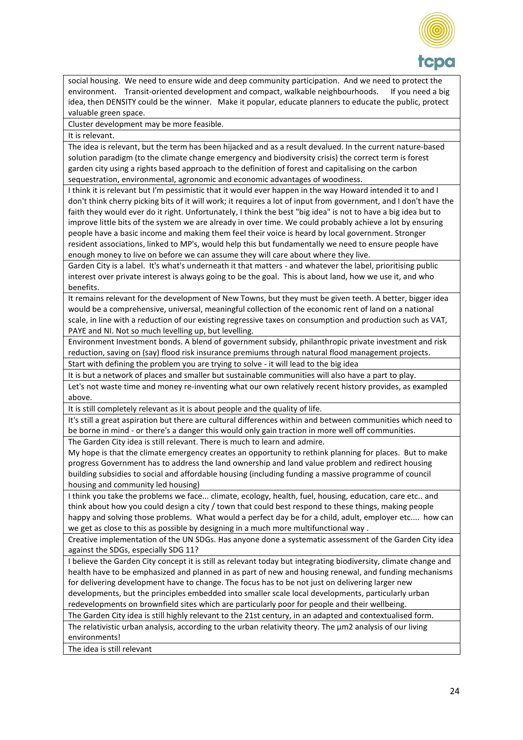

social housing. We need to ensure wide and deep community participation. And we need to protect the environment. Transit-oriented development and compact, walkable neighbourhoods. If you need a big idea, then DENSITY could be the winner. Make it popular, educate planners to educate the public, protect valuable green space.

## Cluster development may be more feasible.

It is relevant.

The idea is relevant, but the term has been hijacked and as a result devalued. In the current nature-based solution paradigm (to the climate change emergency and biodiversity crisis) the correct term is forest garden city using a rights based approach to the definition of forest and capitalising on the carbon sequestration, environmental, agronomic and economic advantages of woodiness.

I think it is relevant but I'm pessimistic that it would ever happen in the way Howard intended it to and I don't think cherry picking bits of it will work; it requires a lot of input from government, and I don't have the faith they would ever do it right. Unfortunately, I think the best "big idea" is not to have a big idea but to improve little bits of the system we are already in over time. We could probably achieve a lot by ensuring people have a basic income and making them feel their voice is heard by local government. Stronger resident associations, linked to MP's, would help this but fundamentally we need to ensure people have enough money to live on before we can assume they will care about where they live.

Garden City is a label. It's what's underneath it that matters - and whatever the label, prioritising public interest over private interest is always going to be the goal. This is about land, how we use it, and who benefits.

It remains relevant for the development of New Towns, but they must be given teeth. A better, bigger idea would be a comprehensive, universal, meaningful collection of the economic rent of land on a national scale, in line with a reduction of our existing regressive taxes on consumption and production such as VAT, PAYE and NI. Not so much levelling up, but levelling.

Environment Investment bonds. A blend of government subsidy, philanthropic private investment and risk reduction, saving on (say) flood risk insurance premiums through natural flood management projects.

Start with defining the problem you are trying to solve - it will lead to the big idea

It is but a network of places and smaller but sustainable communities will also have a part to play. Let's not waste time and money re-inventing what our own relatively recent history provides, as exampled above.

It is still completely relevant as it is about people and the quality of life.

It's still a great aspiration but there are cultural differences within and between communities which need to be borne in mind - or there's a danger this would only gain traction in more well off communities.

The Garden City idea is still relevant. There is much to learn and admire.

My hope is that the climate emergency creates an opportunity to rethink planning for places. But to make progress Government has to address the land ownership and land value problem and redirect housing building subsidies to social and affordable housing (including funding a massive programme of council housing and community led housing)

I think you take the problems we face... climate, ecology, health, fuel, housing, education, care etc.. and think about how you could design a city / town that could best respond to these things, making people happy and solving those problems. What would a perfect day be for a child, adult, employer etc.... how can we get as close to this as possible by designing in a much more multifunctional way .

Creative implementation of the UN SDGs. Has anyone done a systematic assessment of the Garden City idea against the SDGs, especially SDG 11?

I believe the Garden City concept it is still as relevant today but integrating biodiversity, climate change and health have to be emphasized and planned in as part of new and housing renewal, and funding mechanisms for delivering development have to change. The focus has to be not just on delivering larger new developments, but the principles embedded into smaller scale local developments, particularly urban redevelopments on brownfield sites which are particularly poor for people and their wellbeing.

The Garden City idea is still highly relevant to the 21st century, in an adapted and contextualised form.

The relativistic urban analysis, according to the urban relativity theory. The  $\mu$ m2 analysis of our living environments!

The idea is still relevant